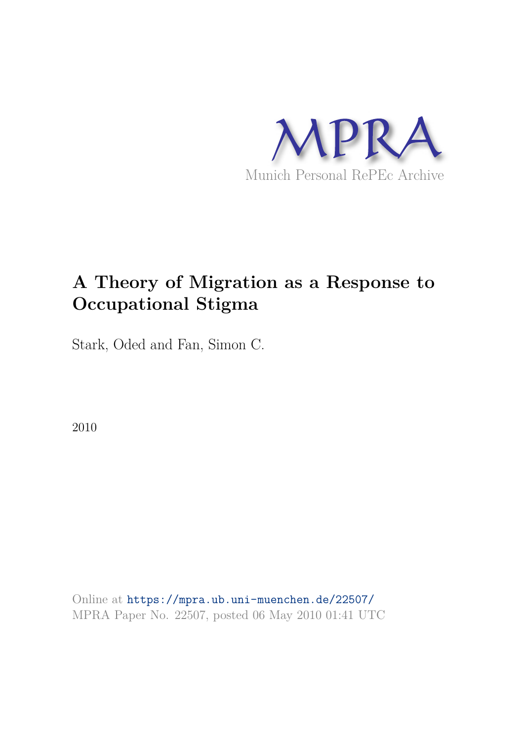

# **A Theory of Migration as a Response to Occupational Stigma**

Stark, Oded and Fan, Simon C.

2010

Online at https://mpra.ub.uni-muenchen.de/22507/ MPRA Paper No. 22507, posted 06 May 2010 01:41 UTC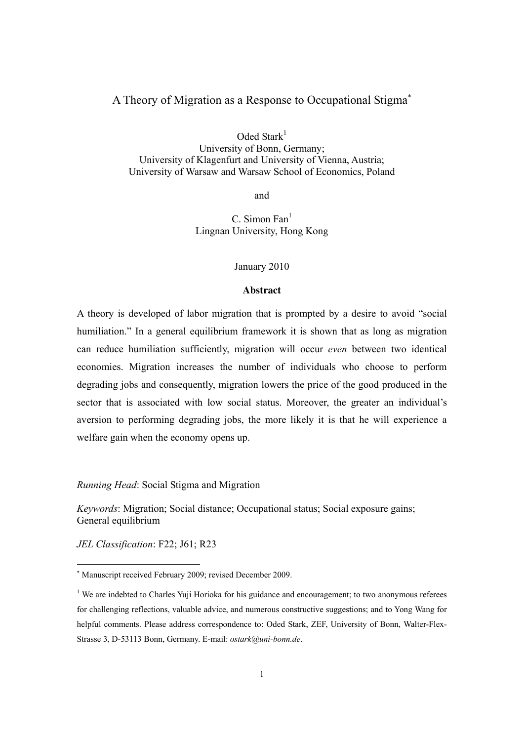# A Theory of Migration as a Response to Occupational Stigma<sup>∗</sup>

Oded Stark $1$ 

University of Bonn, Germany; University of Klagenfurt and University of Vienna, Austria; University of Warsaw and Warsaw School of Economics, Poland

and

 $C.$  Simon Fan $<sup>1</sup>$ </sup> Lingnan University, Hong Kong

#### January 2010

#### **Abstract**

A theory is developed of labor migration that is prompted by a desire to avoid "social humiliation." In a general equilibrium framework it is shown that as long as migration can reduce humiliation sufficiently, migration will occur *even* between two identical economies. Migration increases the number of individuals who choose to perform degrading jobs and consequently, migration lowers the price of the good produced in the sector that is associated with low social status. Moreover, the greater an individual's aversion to performing degrading jobs, the more likely it is that he will experience a welfare gain when the economy opens up.

*Running Head*: Social Stigma and Migration

*Keywords*: Migration; Social distance; Occupational status; Social exposure gains; General equilibrium

*JEL Classification*: F22; J61; R23

<sup>∗</sup> Manuscript received February 2009; revised December 2009.

<sup>&</sup>lt;sup>1</sup> We are indebted to Charles Yuji Horioka for his guidance and encouragement; to two anonymous referees for challenging reflections, valuable advice, and numerous constructive suggestions; and to Yong Wang for helpful comments. Please address correspondence to: Oded Stark, ZEF, University of Bonn, Walter-Flex-Strasse 3, D-53113 Bonn, Germany. E-mail: *ostark@uni-bonn.de*.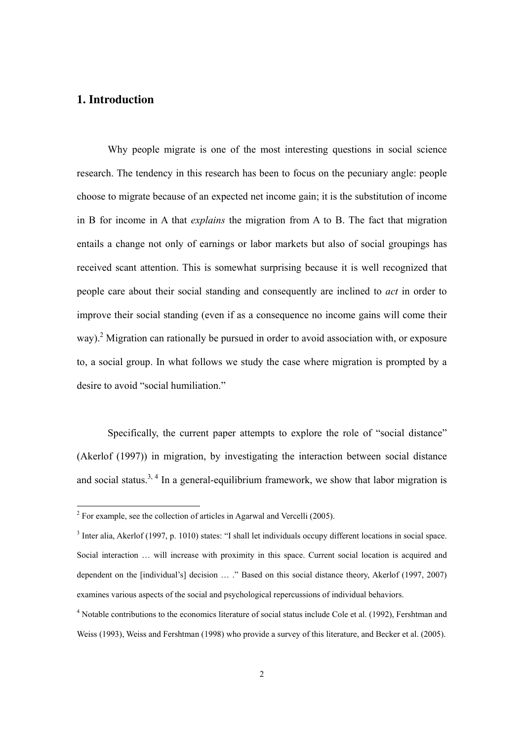# **1. Introduction**

Why people migrate is one of the most interesting questions in social science research. The tendency in this research has been to focus on the pecuniary angle: people choose to migrate because of an expected net income gain; it is the substitution of income in B for income in A that *explains* the migration from A to B. The fact that migration entails a change not only of earnings or labor markets but also of social groupings has received scant attention. This is somewhat surprising because it is well recognized that people care about their social standing and consequently are inclined to *act* in order to improve their social standing (even if as a consequence no income gains will come their way).<sup>2</sup> Migration can rationally be pursued in order to avoid association with, or exposure to, a social group. In what follows we study the case where migration is prompted by a desire to avoid "social humiliation."

Specifically, the current paper attempts to explore the role of "social distance" (Akerlof (1997)) in migration, by investigating the interaction between social distance and social status.<sup>3, 4</sup> In a general-equilibrium framework, we show that labor migration is

<sup>&</sup>lt;sup>2</sup> For example, see the collection of articles in Agarwal and Vercelli (2005).

<sup>&</sup>lt;sup>3</sup> Inter alia, Akerlof (1997, p. 1010) states: "I shall let individuals occupy different locations in social space. Social interaction … will increase with proximity in this space. Current social location is acquired and dependent on the [individual's] decision … ." Based on this social distance theory, Akerlof (1997, 2007) examines various aspects of the social and psychological repercussions of individual behaviors.

<sup>&</sup>lt;sup>4</sup> Notable contributions to the economics literature of social status include Cole et al. (1992), Fershtman and Weiss (1993), Weiss and Fershtman (1998) who provide a survey of this literature, and Becker et al. (2005).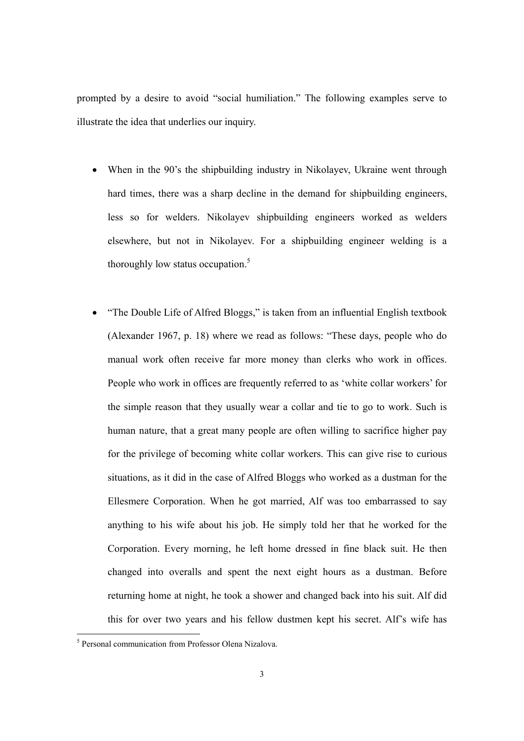prompted by a desire to avoid "social humiliation." The following examples serve to illustrate the idea that underlies our inquiry.

- When in the 90's the shipbuilding industry in Nikolayev, Ukraine went through hard times, there was a sharp decline in the demand for shipbuilding engineers, less so for welders. Nikolayev shipbuilding engineers worked as welders elsewhere, but not in Nikolayev. For a shipbuilding engineer welding is a thoroughly low status occupation.<sup>5</sup>
- "The Double Life of Alfred Bloggs," is taken from an influential English textbook (Alexander 1967, p. 18) where we read as follows: "These days, people who do manual work often receive far more money than clerks who work in offices. People who work in offices are frequently referred to as 'white collar workers' for the simple reason that they usually wear a collar and tie to go to work. Such is human nature, that a great many people are often willing to sacrifice higher pay for the privilege of becoming white collar workers. This can give rise to curious situations, as it did in the case of Alfred Bloggs who worked as a dustman for the Ellesmere Corporation. When he got married, Alf was too embarrassed to say anything to his wife about his job. He simply told her that he worked for the Corporation. Every morning, he left home dressed in fine black suit. He then changed into overalls and spent the next eight hours as a dustman. Before returning home at night, he took a shower and changed back into his suit. Alf did this for over two years and his fellow dustmen kept his secret. Alf's wife has

<sup>5</sup> Personal communication from Professor Olena Nizalova.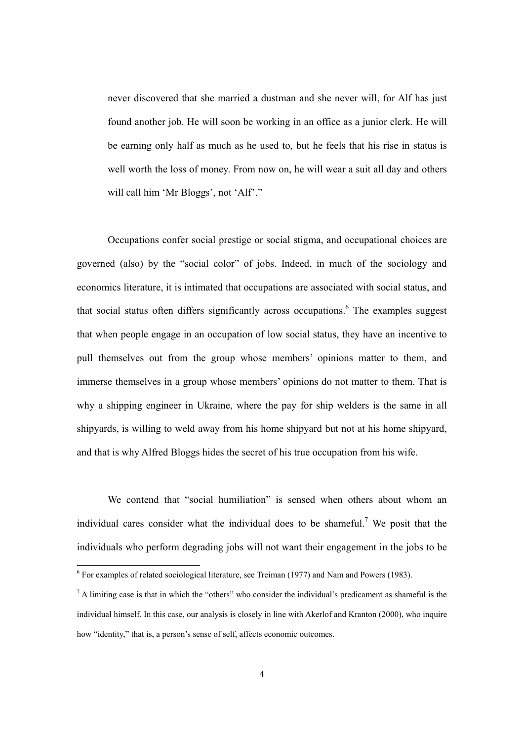never discovered that she married a dustman and she never will, for Alf has just found another job. He will soon be working in an office as a junior clerk. He will be earning only half as much as he used to, but he feels that his rise in status is well worth the loss of money. From now on, he will wear a suit all day and others will call him 'Mr Bloggs', not 'Alf'."

Occupations confer social prestige or social stigma, and occupational choices are governed (also) by the "social color" of jobs. Indeed, in much of the sociology and economics literature, it is intimated that occupations are associated with social status, and that social status often differs significantly across occupations.<sup>6</sup> The examples suggest that when people engage in an occupation of low social status, they have an incentive to pull themselves out from the group whose members' opinions matter to them, and immerse themselves in a group whose members' opinions do not matter to them. That is why a shipping engineer in Ukraine, where the pay for ship welders is the same in all shipyards, is willing to weld away from his home shipyard but not at his home shipyard, and that is why Alfred Bloggs hides the secret of his true occupation from his wife.

We contend that "social humiliation" is sensed when others about whom an individual cares consider what the individual does to be shameful.<sup>7</sup> We posit that the individuals who perform degrading jobs will not want their engagement in the jobs to be

<sup>&</sup>lt;sup>6</sup> For examples of related sociological literature, see Treiman (1977) and Nam and Powers (1983).

 $<sup>7</sup>$  A limiting case is that in which the "others" who consider the individual's predicament as shameful is the</sup> individual himself. In this case, our analysis is closely in line with Akerlof and Kranton (2000), who inquire how "identity," that is, a person's sense of self, affects economic outcomes.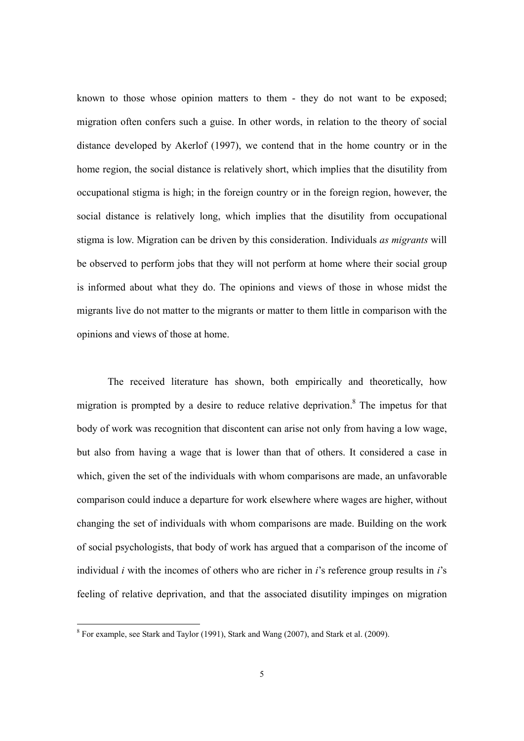known to those whose opinion matters to them - they do not want to be exposed; migration often confers such a guise. In other words, in relation to the theory of social distance developed by Akerlof (1997), we contend that in the home country or in the home region, the social distance is relatively short, which implies that the disutility from occupational stigma is high; in the foreign country or in the foreign region, however, the social distance is relatively long, which implies that the disutility from occupational stigma is low. Migration can be driven by this consideration. Individuals *as migrants* will be observed to perform jobs that they will not perform at home where their social group is informed about what they do. The opinions and views of those in whose midst the migrants live do not matter to the migrants or matter to them little in comparison with the opinions and views of those at home.

The received literature has shown, both empirically and theoretically, how migration is prompted by a desire to reduce relative deprivation.<sup>8</sup> The impetus for that body of work was recognition that discontent can arise not only from having a low wage, but also from having a wage that is lower than that of others. It considered a case in which, given the set of the individuals with whom comparisons are made, an unfavorable comparison could induce a departure for work elsewhere where wages are higher, without changing the set of individuals with whom comparisons are made. Building on the work of social psychologists, that body of work has argued that a comparison of the income of individual *i* with the incomes of others who are richer in *i*'s reference group results in *i*'s feeling of relative deprivation, and that the associated disutility impinges on migration

<sup>&</sup>lt;sup>8</sup> For example, see Stark and Taylor (1991), Stark and Wang (2007), and Stark et al. (2009).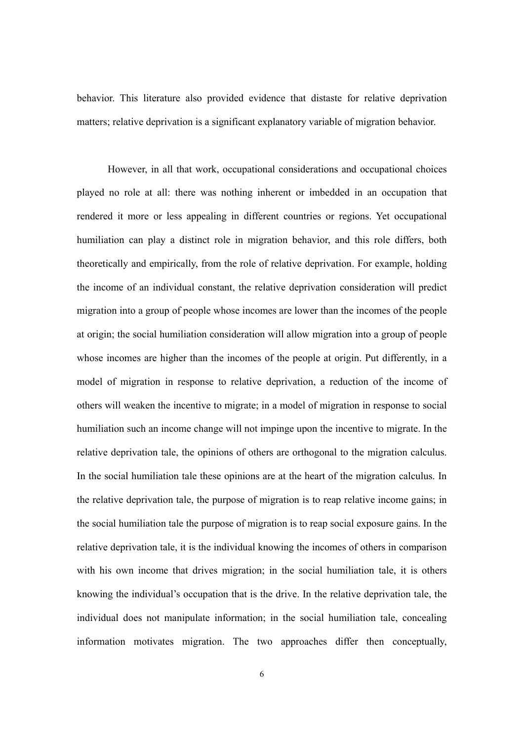behavior. This literature also provided evidence that distaste for relative deprivation matters; relative deprivation is a significant explanatory variable of migration behavior.

However, in all that work, occupational considerations and occupational choices played no role at all: there was nothing inherent or imbedded in an occupation that rendered it more or less appealing in different countries or regions. Yet occupational humiliation can play a distinct role in migration behavior, and this role differs, both theoretically and empirically, from the role of relative deprivation. For example, holding the income of an individual constant, the relative deprivation consideration will predict migration into a group of people whose incomes are lower than the incomes of the people at origin; the social humiliation consideration will allow migration into a group of people whose incomes are higher than the incomes of the people at origin. Put differently, in a model of migration in response to relative deprivation, a reduction of the income of others will weaken the incentive to migrate; in a model of migration in response to social humiliation such an income change will not impinge upon the incentive to migrate. In the relative deprivation tale, the opinions of others are orthogonal to the migration calculus. In the social humiliation tale these opinions are at the heart of the migration calculus. In the relative deprivation tale, the purpose of migration is to reap relative income gains; in the social humiliation tale the purpose of migration is to reap social exposure gains. In the relative deprivation tale, it is the individual knowing the incomes of others in comparison with his own income that drives migration; in the social humiliation tale, it is others knowing the individual's occupation that is the drive. In the relative deprivation tale, the individual does not manipulate information; in the social humiliation tale, concealing information motivates migration. The two approaches differ then conceptually,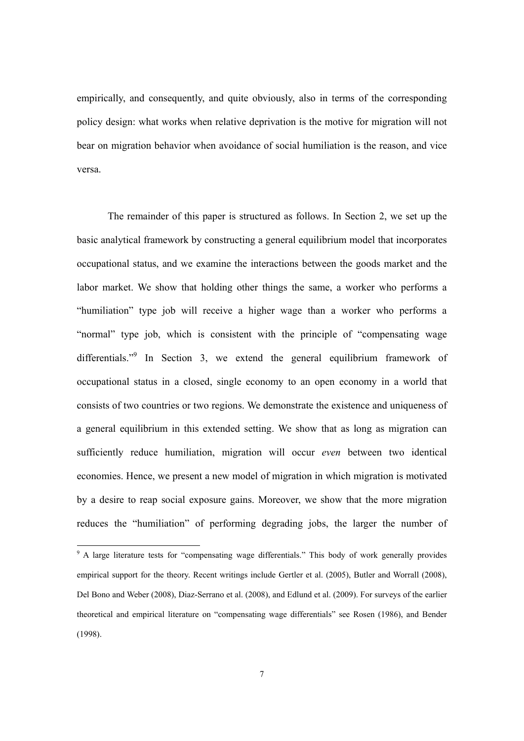empirically, and consequently, and quite obviously, also in terms of the corresponding policy design: what works when relative deprivation is the motive for migration will not bear on migration behavior when avoidance of social humiliation is the reason, and vice versa.

The remainder of this paper is structured as follows. In Section 2, we set up the basic analytical framework by constructing a general equilibrium model that incorporates occupational status, and we examine the interactions between the goods market and the labor market. We show that holding other things the same, a worker who performs a "humiliation" type job will receive a higher wage than a worker who performs a "normal" type job, which is consistent with the principle of "compensating wage differentials."<sup>9</sup> In Section 3, we extend the general equilibrium framework of occupational status in a closed, single economy to an open economy in a world that consists of two countries or two regions. We demonstrate the existence and uniqueness of a general equilibrium in this extended setting. We show that as long as migration can sufficiently reduce humiliation, migration will occur *even* between two identical economies. Hence, we present a new model of migration in which migration is motivated by a desire to reap social exposure gains. Moreover, we show that the more migration reduces the "humiliation" of performing degrading jobs, the larger the number of

<sup>&</sup>lt;sup>9</sup> A large literature tests for "compensating wage differentials." This body of work generally provides empirical support for the theory. Recent writings include Gertler et al. (2005), Butler and Worrall (2008), Del Bono and Weber (2008), Diaz-Serrano et al. (2008), and Edlund et al. (2009). For surveys of the earlier theoretical and empirical literature on "compensating wage differentials" see Rosen (1986), and Bender (1998).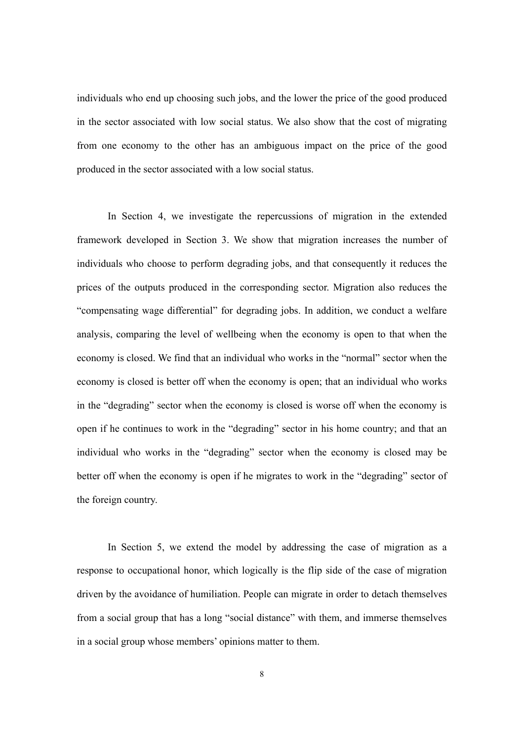individuals who end up choosing such jobs, and the lower the price of the good produced in the sector associated with low social status. We also show that the cost of migrating from one economy to the other has an ambiguous impact on the price of the good produced in the sector associated with a low social status.

In Section 4, we investigate the repercussions of migration in the extended framework developed in Section 3. We show that migration increases the number of individuals who choose to perform degrading jobs, and that consequently it reduces the prices of the outputs produced in the corresponding sector. Migration also reduces the "compensating wage differential" for degrading jobs. In addition, we conduct a welfare analysis, comparing the level of wellbeing when the economy is open to that when the economy is closed. We find that an individual who works in the "normal" sector when the economy is closed is better off when the economy is open; that an individual who works in the "degrading" sector when the economy is closed is worse off when the economy is open if he continues to work in the "degrading" sector in his home country; and that an individual who works in the "degrading" sector when the economy is closed may be better off when the economy is open if he migrates to work in the "degrading" sector of the foreign country.

In Section 5, we extend the model by addressing the case of migration as a response to occupational honor, which logically is the flip side of the case of migration driven by the avoidance of humiliation. People can migrate in order to detach themselves from a social group that has a long "social distance" with them, and immerse themselves in a social group whose members' opinions matter to them.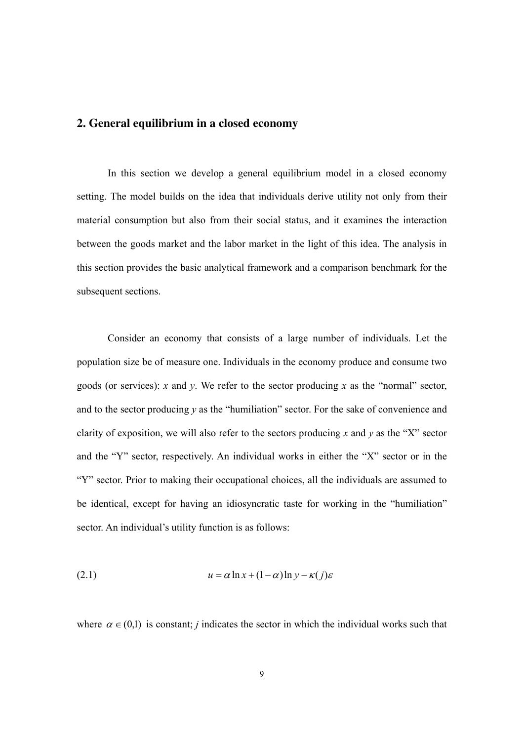## **2. General equilibrium in a closed economy**

In this section we develop a general equilibrium model in a closed economy setting. The model builds on the idea that individuals derive utility not only from their material consumption but also from their social status, and it examines the interaction between the goods market and the labor market in the light of this idea. The analysis in this section provides the basic analytical framework and a comparison benchmark for the subsequent sections.

Consider an economy that consists of a large number of individuals. Let the population size be of measure one. Individuals in the economy produce and consume two goods (or services): *x* and *y*. We refer to the sector producing *x* as the "normal" sector, and to the sector producing *y* as the "humiliation" sector. For the sake of convenience and clarity of exposition, we will also refer to the sectors producing  $x$  and  $y$  as the "X" sector and the "Y" sector, respectively. An individual works in either the "X" sector or in the "Y" sector. Prior to making their occupational choices, all the individuals are assumed to be identical, except for having an idiosyncratic taste for working in the "humiliation" sector. An individual's utility function is as follows:

(2.1) 
$$
u = \alpha \ln x + (1 - \alpha) \ln y - \kappa(j)\varepsilon
$$

where  $\alpha \in (0,1)$  is constant; *j* indicates the sector in which the individual works such that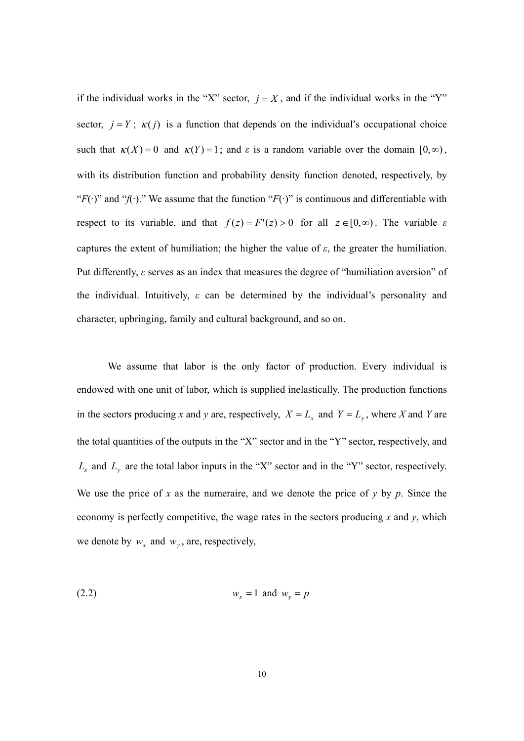if the individual works in the "X" sector,  $j = X$ , and if the individual works in the "Y" sector,  $j = Y$ ;  $\kappa(j)$  is a function that depends on the individual's occupational choice such that  $\kappa(X) = 0$  and  $\kappa(Y) = 1$ ; and  $\varepsilon$  is a random variable over the domain  $[0, \infty)$ , with its distribution function and probability density function denoted, respectively, by " $F(\cdot)$ " and " $f(\cdot)$ ." We assume that the function " $F(\cdot)$ " is continuous and differentiable with respect to its variable, and that  $f(z) = F'(z) > 0$  for all  $z \in [0, \infty)$ . The variable  $\varepsilon$ captures the extent of humiliation; the higher the value of *ε*, the greater the humiliation. Put differently, *ε* serves as an index that measures the degree of "humiliation aversion" of the individual. Intuitively, *ε* can be determined by the individual's personality and character, upbringing, family and cultural background, and so on.

We assume that labor is the only factor of production. Every individual is endowed with one unit of labor, which is supplied inelastically. The production functions in the sectors producing *x* and *y* are, respectively,  $X = L_x$  and  $Y = L_y$ , where *X* and *Y* are the total quantities of the outputs in the "X" sector and in the "Y" sector, respectively, and  $L<sub>x</sub>$  and  $L<sub>y</sub>$  are the total labor inputs in the "X" sector and in the "Y" sector, respectively. We use the price of  $x$  as the numeraire, and we denote the price of  $y$  by  $p$ . Since the economy is perfectly competitive, the wage rates in the sectors producing  $x$  and  $y$ , which we denote by  $w_x$  and  $w_y$ , are, respectively,

$$
(2.2) \t\t\t w_x = 1 \tand \t w_y = p
$$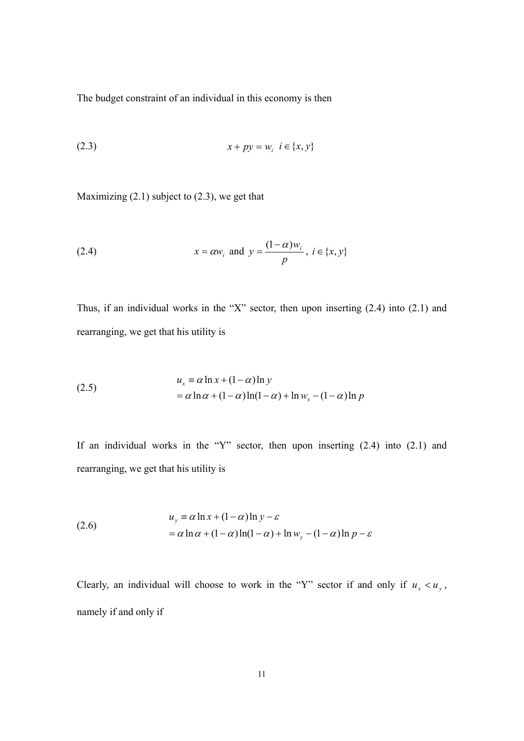The budget constraint of an individual in this economy is then

(2.3) 
$$
x + py = w_i \ \ i \in \{x, y\}
$$

Maximizing (2.1) subject to (2.3), we get that

(2.4) 
$$
x = \alpha w_i
$$
 and  $y = \frac{(1 - \alpha)w_i}{p}$ ,  $i \in \{x, y\}$ 

Thus, if an individual works in the "X" sector, then upon inserting (2.4) into (2.1) and rearranging, we get that his utility is

(2.5)  
\n
$$
u_x \equiv \alpha \ln x + (1 - \alpha) \ln y
$$
\n
$$
= \alpha \ln \alpha + (1 - \alpha) \ln(1 - \alpha) + \ln w_x - (1 - \alpha) \ln p
$$

If an individual works in the "Y" sector, then upon inserting (2.4) into (2.1) and rearranging, we get that his utility is

(2.6) 
$$
u_y = \alpha \ln x + (1 - \alpha) \ln y - \varepsilon
$$

$$
= \alpha \ln \alpha + (1 - \alpha) \ln(1 - \alpha) + \ln w_y - (1 - \alpha) \ln p - \varepsilon
$$

Clearly, an individual will choose to work in the "Y" sector if and only if  $u_x < u_y$ , namely if and only if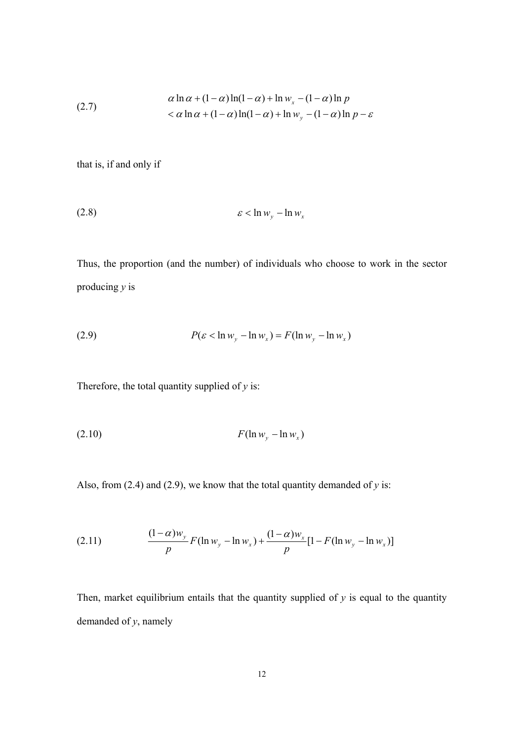(2.7) 
$$
\alpha \ln \alpha + (1 - \alpha) \ln(1 - \alpha) + \ln w_x - (1 - \alpha) \ln p
$$

$$
< \alpha \ln \alpha + (1 - \alpha) \ln(1 - \alpha) + \ln w_y - (1 - \alpha) \ln p - \varepsilon
$$

that is, if and only if

$$
\varepsilon < \ln w_y - \ln w_x
$$

Thus, the proportion (and the number) of individuals who choose to work in the sector producing *y* is

$$
(2.9) \t\t P(\varepsilon < \ln w_y - \ln w_x) = F(\ln w_y - \ln w_x)
$$

Therefore, the total quantity supplied of *y* is:

$$
(2.10) \t\t F(\ln w_y - \ln w_x)
$$

Also, from (2.4) and (2.9), we know that the total quantity demanded of *y* is:

(2.11) 
$$
\frac{(1-\alpha)w_y}{p}F(\ln w_y - \ln w_x) + \frac{(1-\alpha)w_x}{p}[1 - F(\ln w_y - \ln w_x)]
$$

Then, market equilibrium entails that the quantity supplied of  $y$  is equal to the quantity demanded of *y*, namely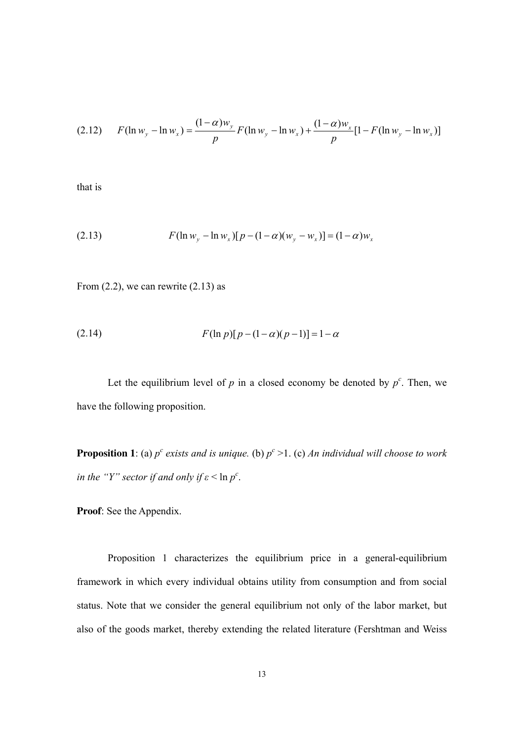$$
(2.12) \qquad F(\ln w_y - \ln w_x) = \frac{(1 - \alpha)w_y}{p} F(\ln w_y - \ln w_x) + \frac{(1 - \alpha)w_x}{p} [1 - F(\ln w_y - \ln w_x)]
$$

that is

(2.13) 
$$
F(\ln w_y - \ln w_x)[p - (1 - \alpha)(w_y - w_x)] = (1 - \alpha)w_x
$$

From  $(2.2)$ , we can rewrite  $(2.13)$  as

(2.14) 
$$
F(\ln p)[p-(1-\alpha)(p-1)] = 1-\alpha
$$

Let the equilibrium level of  $p$  in a closed economy be denoted by  $p^c$ . Then, we have the following proposition.

**Proposition 1**: (a)  $p^c$  exists and is unique. (b)  $p^c > 1$ . (c) An individual will choose to work *in the "Y" sector if and only if*  $\varepsilon$  < ln  $p^c$ .

**Proof**: See the Appendix.

Proposition 1 characterizes the equilibrium price in a general-equilibrium framework in which every individual obtains utility from consumption and from social status. Note that we consider the general equilibrium not only of the labor market, but also of the goods market, thereby extending the related literature (Fershtman and Weiss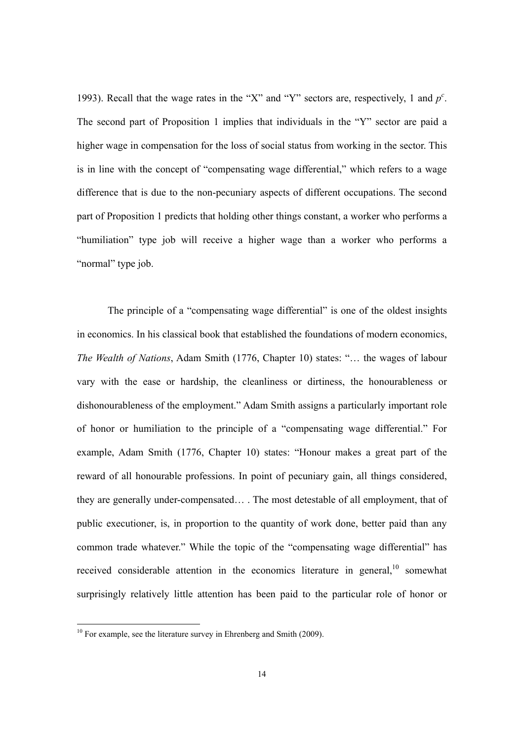1993). Recall that the wage rates in the "X" and "Y" sectors are, respectively, 1 and *p c* . The second part of Proposition 1 implies that individuals in the "Y" sector are paid a higher wage in compensation for the loss of social status from working in the sector. This is in line with the concept of "compensating wage differential," which refers to a wage difference that is due to the non-pecuniary aspects of different occupations. The second part of Proposition 1 predicts that holding other things constant, a worker who performs a "humiliation" type job will receive a higher wage than a worker who performs a "normal" type job.

The principle of a "compensating wage differential" is one of the oldest insights in economics. In his classical book that established the foundations of modern economics, *The Wealth of Nations*, Adam Smith (1776, Chapter 10) states: "… the wages of labour vary with the ease or hardship, the cleanliness or dirtiness, the honourableness or dishonourableness of the employment." Adam Smith assigns a particularly important role of honor or humiliation to the principle of a "compensating wage differential." For example, Adam Smith (1776, Chapter 10) states: "Honour makes a great part of the reward of all honourable professions. In point of pecuniary gain, all things considered, they are generally under-compensated… . The most detestable of all employment, that of public executioner, is, in proportion to the quantity of work done, better paid than any common trade whatever." While the topic of the "compensating wage differential" has received considerable attention in the economics literature in general,  $10$  somewhat surprisingly relatively little attention has been paid to the particular role of honor or

<sup>&</sup>lt;sup>10</sup> For example, see the literature survey in Ehrenberg and Smith (2009).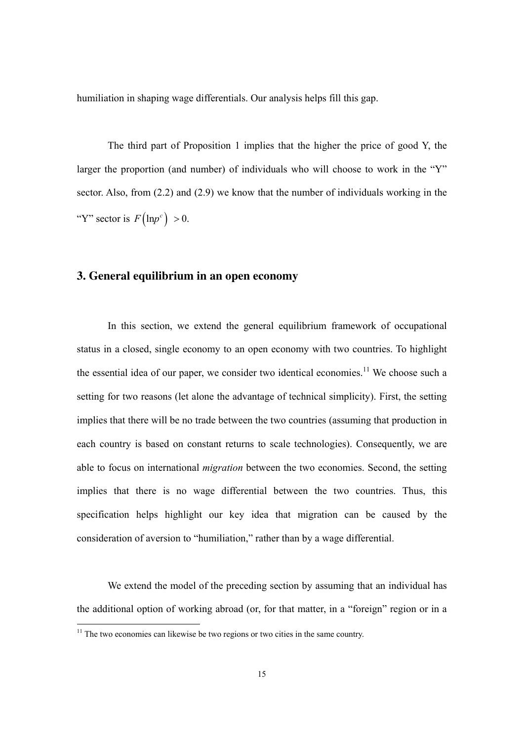humiliation in shaping wage differentials. Our analysis helps fill this gap.

The third part of Proposition 1 implies that the higher the price of good Y, the larger the proportion (and number) of individuals who will choose to work in the "Y" sector. Also, from (2.2) and (2.9) we know that the number of individuals working in the "Y" sector is  $F(\ln p^c) > 0$ .

## **3. General equilibrium in an open economy**

In this section, we extend the general equilibrium framework of occupational status in a closed, single economy to an open economy with two countries. To highlight the essential idea of our paper, we consider two identical economies.<sup>11</sup> We choose such a setting for two reasons (let alone the advantage of technical simplicity). First, the setting implies that there will be no trade between the two countries (assuming that production in each country is based on constant returns to scale technologies). Consequently, we are able to focus on international *migration* between the two economies. Second, the setting implies that there is no wage differential between the two countries. Thus, this specification helps highlight our key idea that migration can be caused by the consideration of aversion to "humiliation," rather than by a wage differential.

We extend the model of the preceding section by assuming that an individual has the additional option of working abroad (or, for that matter, in a "foreign" region or in a

<sup>&</sup>lt;sup>11</sup> The two economies can likewise be two regions or two cities in the same country.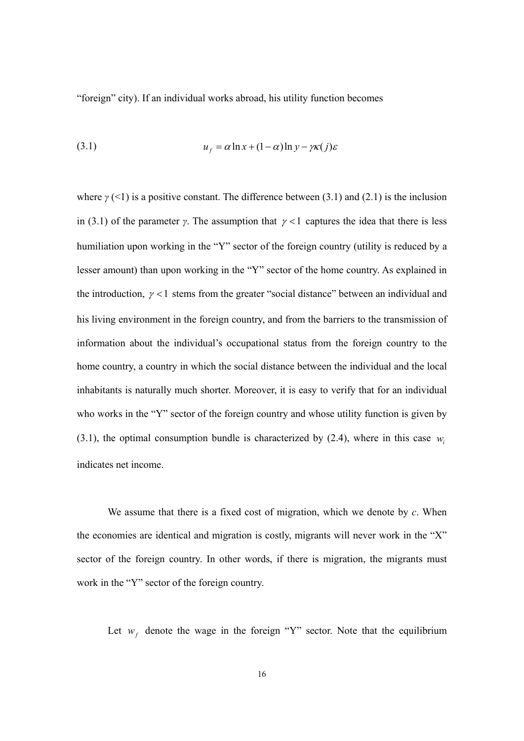"foreign" city). If an individual works abroad, his utility function becomes

(3.1) 
$$
u_f = \alpha \ln x + (1 - \alpha) \ln y - \gamma \kappa(j) \varepsilon
$$

where  $\gamma$  (<1) is a positive constant. The difference between (3.1) and (2.1) is the inclusion in (3.1) of the parameter *γ*. The assumption that  $\gamma$  <1 captures the idea that there is less humiliation upon working in the "Y" sector of the foreign country (utility is reduced by a lesser amount) than upon working in the "Y" sector of the home country. As explained in the introduction,  $\gamma$  < 1 stems from the greater "social distance" between an individual and his living environment in the foreign country, and from the barriers to the transmission of information about the individual's occupational status from the foreign country to the home country, a country in which the social distance between the individual and the local inhabitants is naturally much shorter. Moreover, it is easy to verify that for an individual who works in the "Y" sector of the foreign country and whose utility function is given by  $(3.1)$ , the optimal consumption bundle is characterized by  $(2.4)$ , where in this case *w* indicates net income.

We assume that there is a fixed cost of migration, which we denote by *c*. When the economies are identical and migration is costly, migrants will never work in the "X" sector of the foreign country. In other words, if there is migration, the migrants must work in the "Y" sector of the foreign country.

Let  $w_f$  denote the wage in the foreign "Y" sector. Note that the equilibrium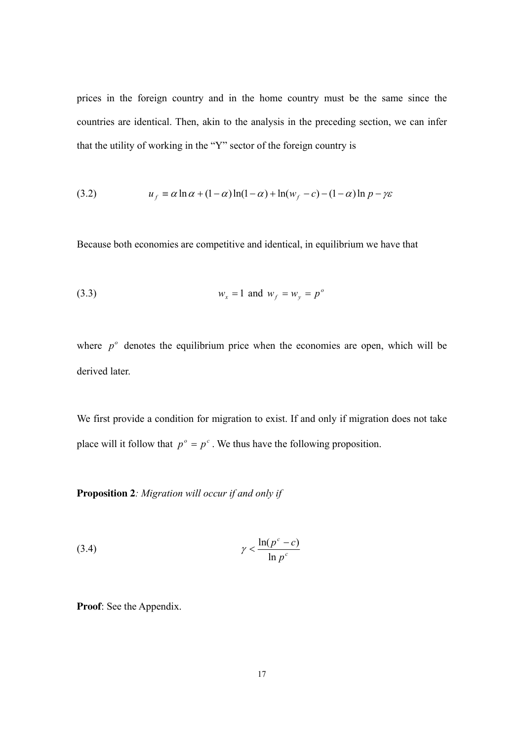prices in the foreign country and in the home country must be the same since the countries are identical. Then, akin to the analysis in the preceding section, we can infer that the utility of working in the "Y" sector of the foreign country is

(3.2) 
$$
u_f = \alpha \ln \alpha + (1 - \alpha) \ln(1 - \alpha) + \ln(w_f - c) - (1 - \alpha) \ln p - \gamma \varepsilon
$$

Because both economies are competitive and identical, in equilibrium we have that

$$
(3.3) \t\t\t w_x = 1 \t\t\tand \t\t\t w_f = w_y = p^o
$$

where  $p<sup>o</sup>$  denotes the equilibrium price when the economies are open, which will be derived later.

We first provide a condition for migration to exist. If and only if migration does not take place will it follow that  $p^{\circ} = p^{\circ}$ . We thus have the following proposition.

**Proposition 2***: Migration will occur if and only if* 

$$
\gamma < \frac{\ln(p^c - c)}{\ln p^c}
$$

**Proof**: See the Appendix.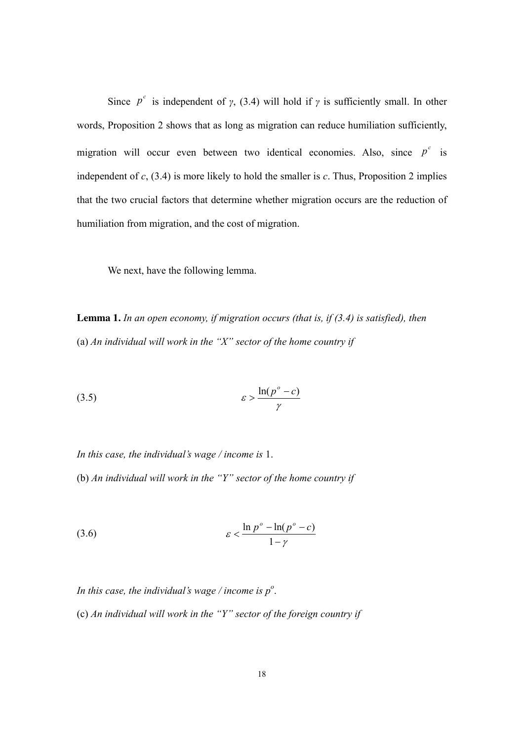Since  $p^c$  is independent of *γ*, (3.4) will hold if *γ* is sufficiently small. In other words, Proposition 2 shows that as long as migration can reduce humiliation sufficiently, migration will occur even between two identical economies. Also, since  $p^c$  is independent of *c*, (3.4) is more likely to hold the smaller is *c*. Thus, Proposition 2 implies that the two crucial factors that determine whether migration occurs are the reduction of humiliation from migration, and the cost of migration.

We next, have the following lemma.

**Lemma 1.** *In an open economy, if migration occurs (that is, if (3.4) is satisfied), then*  (a) *An individual will work in the "X" sector of the home country if* 

$$
(3.5) \t\t\t\t\t\varepsilon > \frac{\ln(p^{\circ} - c)}{\gamma}
$$

*In this case, the individual's wage / income is* 1.

(b) *An individual will work in the "Y" sector of the home country if* 

$$
\varepsilon < \frac{\ln p^{\circ} - \ln(p^{\circ} - c)}{1 - \gamma}
$$

In this case, the individual's wage / income is  $p^o$ .

(c) *An individual will work in the "Y" sector of the foreign country if*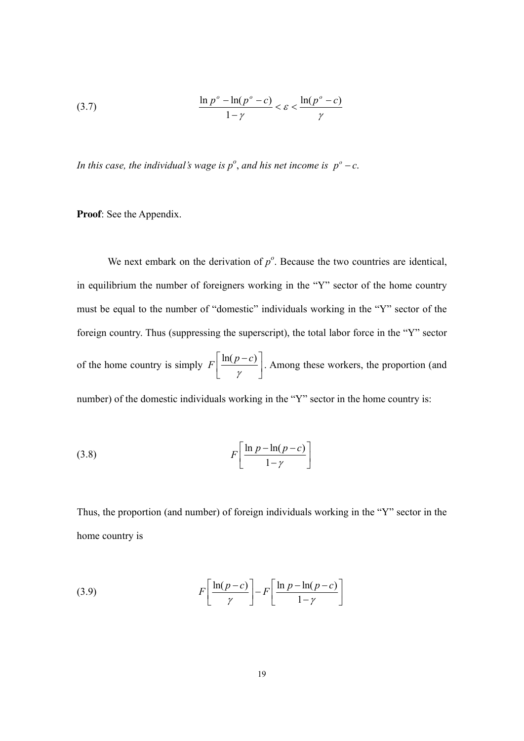$$
\frac{\ln p^{\circ} - \ln(p^{\circ} - c)}{1 - \gamma} < \varepsilon < \frac{\ln(p^{\circ} - c)}{\gamma}
$$

*In this case, the individual's wage is*  $p^o$ *, and his net income is*  $p^o - c$ .

**Proof**: See the Appendix.

We next embark on the derivation of  $p^{\circ}$ . Because the two countries are identical, in equilibrium the number of foreigners working in the "Y" sector of the home country must be equal to the number of "domestic" individuals working in the "Y" sector of the foreign country. Thus (suppressing the superscript), the total labor force in the "Y" sector of the home country is simply  $F\left| \frac{\ln(p-c)}{n} \right|$ γ  $\ln(p-c)$  $\left\lfloor \frac{\eta}{\gamma} \right\rfloor$ . Among these workers, the proportion (and number) of the domestic individuals working in the "Y" sector in the home country is:

$$
(3.8)\qquad \qquad F\left[\frac{\ln p - \ln(p-c)}{1-\gamma}\right]
$$

Thus, the proportion (and number) of foreign individuals working in the "Y" sector in the home country is

(3.9) 
$$
F\left[\frac{\ln(p-c)}{\gamma}\right] - F\left[\frac{\ln p - \ln(p-c)}{1-\gamma}\right]
$$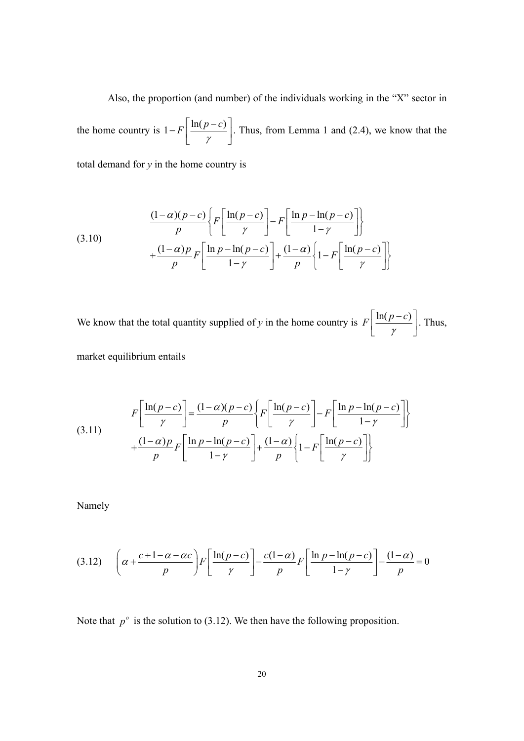Also, the proportion (and number) of the individuals working in the "X" sector in the home country is  $1 - F \left| \frac{\ln(p-c)}{2} \right|$ γ  $-F\left[\frac{\ln(p-c)}{\gamma}\right]$ . Thus, from Lemma 1 and (2.4), we know that the

total demand for  $y$  in the home country is

(3.10)
$$
\frac{(1-\alpha)(p-c)}{p} \left\{ F \left[ \frac{\ln(p-c)}{\gamma} \right] - F \left[ \frac{\ln p - \ln(p-c)}{1-\gamma} \right] \right\}
$$

$$
+ \frac{(1-\alpha)p}{p} F \left[ \frac{\ln p - \ln(p-c)}{1-\gamma} \right] + \frac{(1-\alpha)\left[1-F \left[ \frac{\ln(p-c)}{\gamma} \right] \right]}{p}
$$

We know that the total quantity supplied of *y* in the home country is  $F\left| \frac{\ln(p-c)}{2} \right|$ γ  $\ln(p-c)$  $\left[\frac{m(p-c)}{\gamma}\right]$ . Thus,

market equilibrium entails

(3.11) 
$$
F\left[\frac{\ln(p-c)}{\gamma}\right] = \frac{(1-\alpha)(p-c)}{p} \left\{ F\left[\frac{\ln(p-c)}{\gamma}\right] - F\left[\frac{\ln p - \ln(p-c)}{1-\gamma}\right] \right\} + \frac{(1-\alpha)p}{p} F\left[\frac{\ln p - \ln(p-c)}{1-\gamma}\right] + \frac{(1-\alpha)\left(p-c\right)}{p} \left\{1 - F\left[\frac{\ln(p-c)}{\gamma}\right] \right\}
$$

Namely

$$
(3.12)\quad \left(\alpha + \frac{c+1-\alpha-\alpha c}{p}\right)F\left[\frac{\ln(p-c)}{\gamma}\right] - \frac{c(1-\alpha)}{p}F\left[\frac{\ln p - \ln(p-c)}{1-\gamma}\right] - \frac{(1-\alpha)}{p} = 0
$$

Note that  $p^{\circ}$  is the solution to (3.12). We then have the following proposition.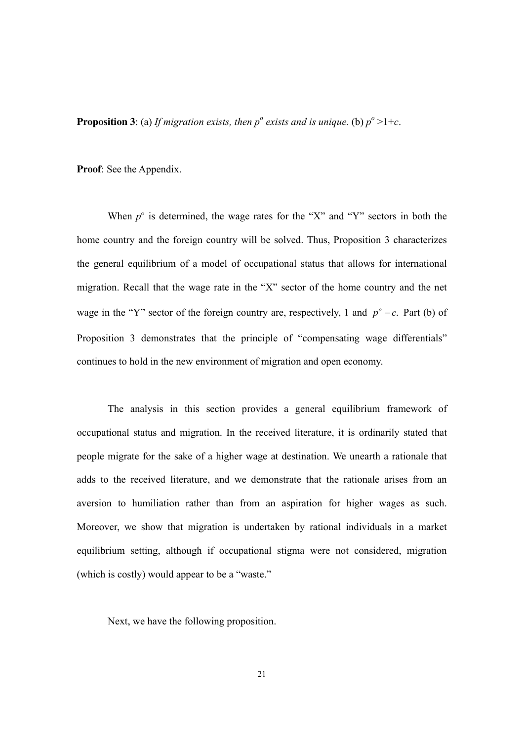**Proposition 3**: (a) *If migration exists, then*  $p^{\circ}$  *exists and is unique.* (b)  $p^{\circ} > 1+c$ .

**Proof**: See the Appendix.

When  $p^{\circ}$  is determined, the wage rates for the "X" and "Y" sectors in both the home country and the foreign country will be solved. Thus, Proposition 3 characterizes the general equilibrium of a model of occupational status that allows for international migration. Recall that the wage rate in the "X" sector of the home country and the net wage in the "Y" sector of the foreign country are, respectively, 1 and  $p^{\circ} - c$ . Part (b) of Proposition 3 demonstrates that the principle of "compensating wage differentials" continues to hold in the new environment of migration and open economy.

The analysis in this section provides a general equilibrium framework of occupational status and migration. In the received literature, it is ordinarily stated that people migrate for the sake of a higher wage at destination. We unearth a rationale that adds to the received literature, and we demonstrate that the rationale arises from an aversion to humiliation rather than from an aspiration for higher wages as such. Moreover, we show that migration is undertaken by rational individuals in a market equilibrium setting, although if occupational stigma were not considered, migration (which is costly) would appear to be a "waste."

Next, we have the following proposition.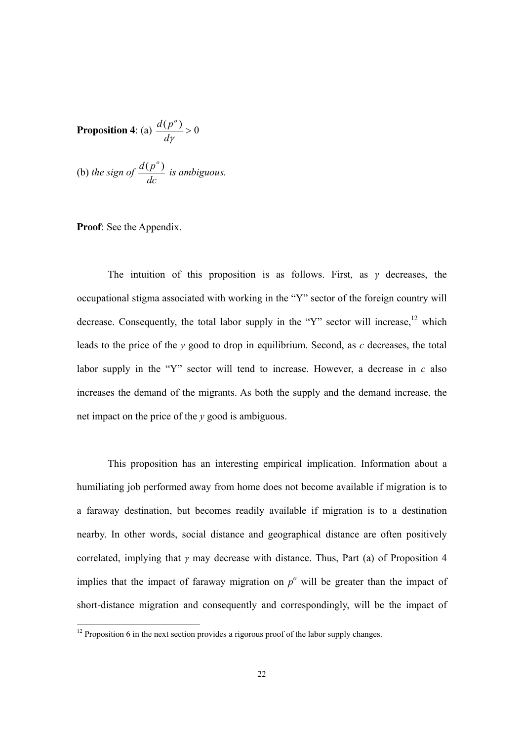**Proposition 4:** (a) 
$$
\frac{d(p^o)}{dy} > 0
$$

(b) the sign of 
$$
\frac{d(p^o)}{dc}
$$
 is ambiguous.

#### **Proof**: See the Appendix.

-

The intuition of this proposition is as follows. First, as *γ* decreases, the occupational stigma associated with working in the "Y" sector of the foreign country will decrease. Consequently, the total labor supply in the "Y" sector will increase,  $^{12}$  which leads to the price of the *y* good to drop in equilibrium. Second, as *c* decreases, the total labor supply in the "Y" sector will tend to increase. However, a decrease in *c* also increases the demand of the migrants. As both the supply and the demand increase, the net impact on the price of the *y* good is ambiguous.

This proposition has an interesting empirical implication. Information about a humiliating job performed away from home does not become available if migration is to a faraway destination, but becomes readily available if migration is to a destination nearby. In other words, social distance and geographical distance are often positively correlated, implying that *γ* may decrease with distance. Thus, Part (a) of Proposition 4 implies that the impact of faraway migration on  $p^{\circ}$  will be greater than the impact of short-distance migration and consequently and correspondingly, will be the impact of

 $12$  Proposition 6 in the next section provides a rigorous proof of the labor supply changes.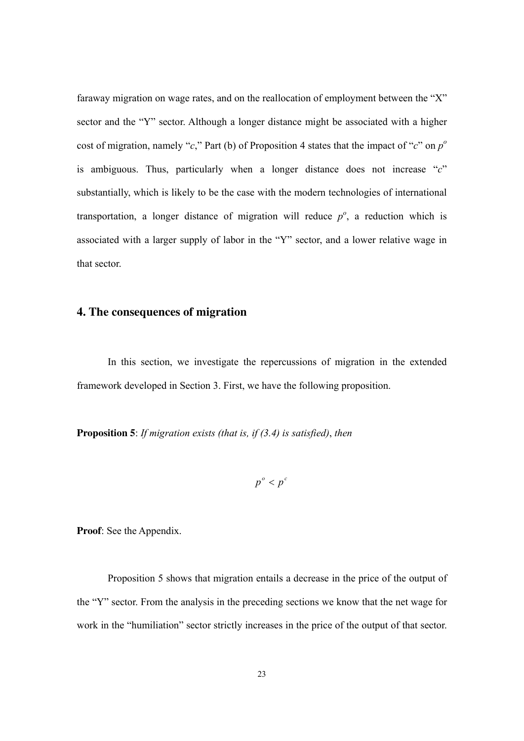faraway migration on wage rates, and on the reallocation of employment between the "X" sector and the "Y" sector. Although a longer distance might be associated with a higher cost of migration, namely "*c*," Part (b) of Proposition 4 states that the impact of "*c*" on  $p^{\circ}$ is ambiguous. Thus, particularly when a longer distance does not increase "*c*" substantially, which is likely to be the case with the modern technologies of international transportation, a longer distance of migration will reduce  $p^o$ , a reduction which is associated with a larger supply of labor in the "Y" sector, and a lower relative wage in that sector.

## **4. The consequences of migration**

In this section, we investigate the repercussions of migration in the extended framework developed in Section 3. First, we have the following proposition.

**Proposition 5**: *If migration exists (that is, if (3.4) is satisfied)*, *then* 

$$
p^o < p^c
$$

**Proof**: See the Appendix.

Proposition 5 shows that migration entails a decrease in the price of the output of the "Y" sector. From the analysis in the preceding sections we know that the net wage for work in the "humiliation" sector strictly increases in the price of the output of that sector.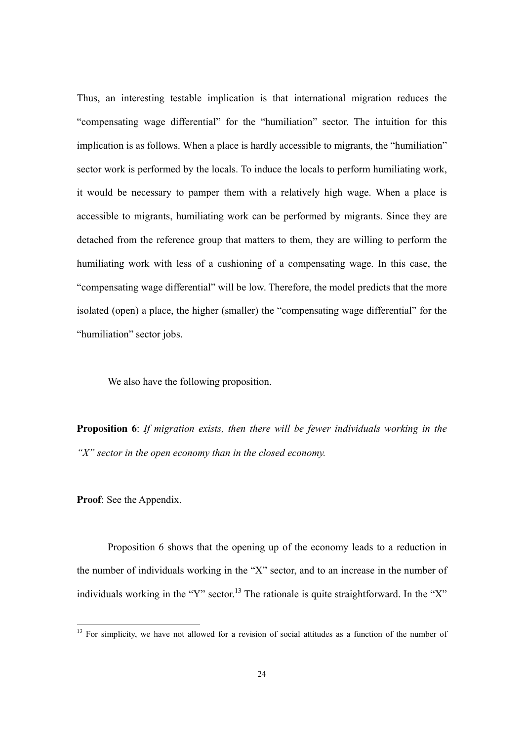Thus, an interesting testable implication is that international migration reduces the "compensating wage differential" for the "humiliation" sector. The intuition for this implication is as follows. When a place is hardly accessible to migrants, the "humiliation" sector work is performed by the locals. To induce the locals to perform humiliating work, it would be necessary to pamper them with a relatively high wage. When a place is accessible to migrants, humiliating work can be performed by migrants. Since they are detached from the reference group that matters to them, they are willing to perform the humiliating work with less of a cushioning of a compensating wage. In this case, the "compensating wage differential" will be low. Therefore, the model predicts that the more isolated (open) a place, the higher (smaller) the "compensating wage differential" for the "humiliation" sector jobs.

We also have the following proposition.

**Proposition 6**: *If migration exists, then there will be fewer individuals working in the "X" sector in the open economy than in the closed economy.* 

**Proof**: See the Appendix.

-

Proposition 6 shows that the opening up of the economy leads to a reduction in the number of individuals working in the "X" sector, and to an increase in the number of individuals working in the "Y" sector.<sup>13</sup> The rationale is quite straightforward. In the "X"

<sup>&</sup>lt;sup>13</sup> For simplicity, we have not allowed for a revision of social attitudes as a function of the number of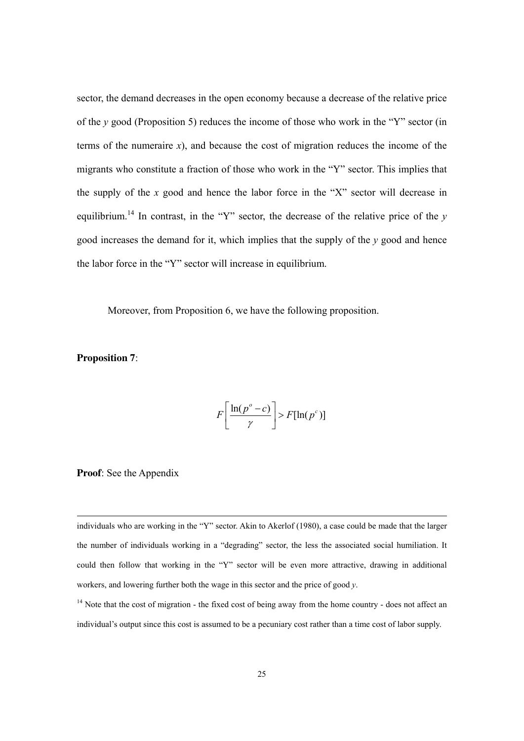sector, the demand decreases in the open economy because a decrease of the relative price of the *y* good (Proposition 5) reduces the income of those who work in the "Y" sector (in terms of the numeraire  $x$ ), and because the cost of migration reduces the income of the migrants who constitute a fraction of those who work in the "Y" sector. This implies that the supply of the  $x$  good and hence the labor force in the "X" sector will decrease in equilibrium.<sup>14</sup> In contrast, in the "Y" sector, the decrease of the relative price of the  $y$ good increases the demand for it, which implies that the supply of the *y* good and hence the labor force in the "Y" sector will increase in equilibrium.

Moreover, from Proposition 6, we have the following proposition.

**Proposition 7**:

$$
F\left[\frac{\ln(p^o - c)}{\gamma}\right] > F[\ln(p^c)]
$$

#### **Proof**: See the Appendix

individuals who are working in the "Y" sector. Akin to Akerlof (1980), a case could be made that the larger the number of individuals working in a "degrading" sector, the less the associated social humiliation. It could then follow that working in the "Y" sector will be even more attractive, drawing in additional workers, and lowering further both the wage in this sector and the price of good *y*.

<sup>14</sup> Note that the cost of migration - the fixed cost of being away from the home country - does not affect an individual's output since this cost is assumed to be a pecuniary cost rather than a time cost of labor supply.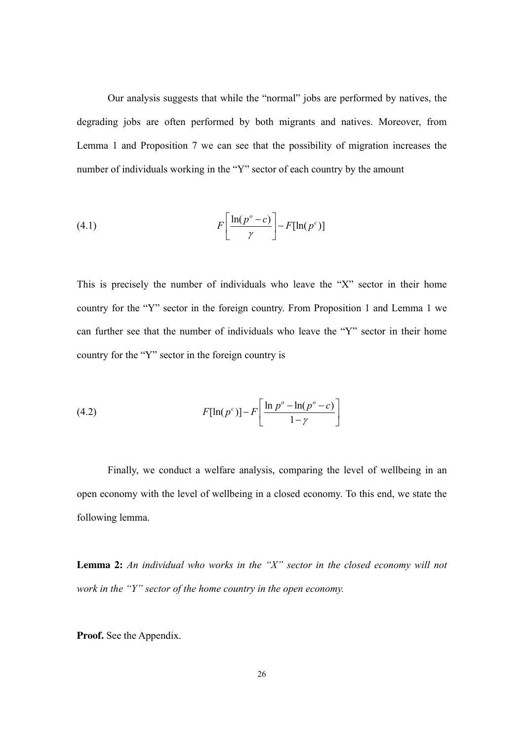Our analysis suggests that while the "normal" jobs are performed by natives, the degrading jobs are often performed by both migrants and natives. Moreover, from Lemma 1 and Proposition 7 we can see that the possibility of migration increases the number of individuals working in the "Y" sector of each country by the amount

(4.1) 
$$
F\left[\frac{\ln(p^o - c)}{\gamma}\right] - F[\ln(p^c)]
$$

This is precisely the number of individuals who leave the "X" sector in their home country for the "Y" sector in the foreign country. From Proposition 1 and Lemma 1 we can further see that the number of individuals who leave the "Y" sector in their home country for the "Y" sector in the foreign country is

(4.2) 
$$
F[\ln(p^c)] - F\left[\frac{\ln p^o - \ln(p^o - c)}{1 - \gamma}\right]
$$

Finally, we conduct a welfare analysis, comparing the level of wellbeing in an open economy with the level of wellbeing in a closed economy. To this end, we state the following lemma.

**Lemma 2:** *An individual who works in the "X" sector in the closed economy will not work in the "Y" sector of the home country in the open economy.*

**Proof.** See the Appendix.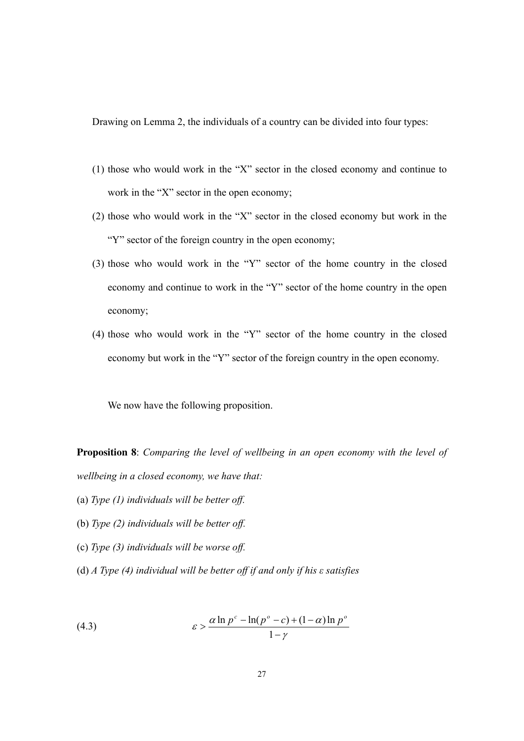Drawing on Lemma 2, the individuals of a country can be divided into four types:

- (1) those who would work in the "X" sector in the closed economy and continue to work in the "X" sector in the open economy;
- (2) those who would work in the "X" sector in the closed economy but work in the "Y" sector of the foreign country in the open economy;
- (3) those who would work in the "Y" sector of the home country in the closed economy and continue to work in the "Y" sector of the home country in the open economy;
- (4) those who would work in the "Y" sector of the home country in the closed economy but work in the "Y" sector of the foreign country in the open economy.

We now have the following proposition.

**Proposition 8**: *Comparing the level of wellbeing in an open economy with the level of wellbeing in a closed economy, we have that:* 

- (a) *Type (1) individuals will be better off.*
- (b) *Type (2) individuals will be better off.*
- (c) *Type (3) individuals will be worse off.*
- (d) *A Type (4) individual will be better off if and only if his ε satisfies*

(4.3) 
$$
\varepsilon > \frac{\alpha \ln p^c - \ln(p^o - c) + (1 - \alpha) \ln p^o}{1 - \gamma}
$$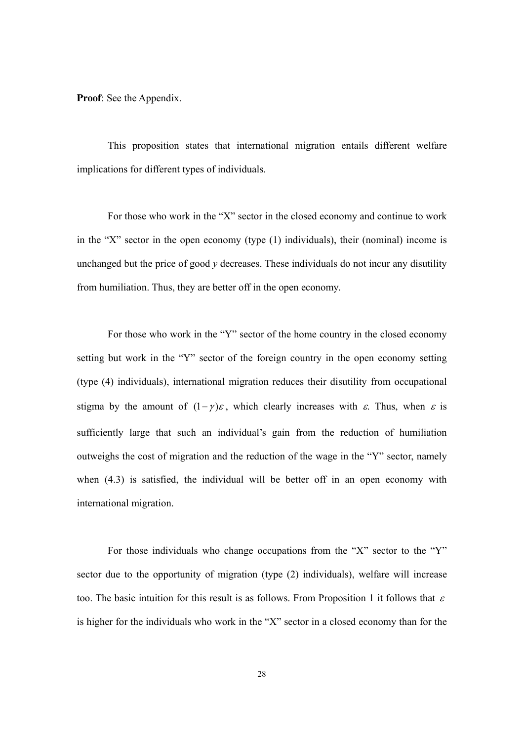**Proof**: See the Appendix.

This proposition states that international migration entails different welfare implications for different types of individuals.

For those who work in the "X" sector in the closed economy and continue to work in the "X" sector in the open economy (type (1) individuals), their (nominal) income is unchanged but the price of good *y* decreases. These individuals do not incur any disutility from humiliation. Thus, they are better off in the open economy.

For those who work in the "Y" sector of the home country in the closed economy setting but work in the "Y" sector of the foreign country in the open economy setting (type (4) individuals), international migration reduces their disutility from occupational stigma by the amount of  $(1 - \gamma)\varepsilon$ , which clearly increases with  $\varepsilon$ . Thus, when  $\varepsilon$  is sufficiently large that such an individual's gain from the reduction of humiliation outweighs the cost of migration and the reduction of the wage in the "Y" sector, namely when (4.3) is satisfied, the individual will be better off in an open economy with international migration.

For those individuals who change occupations from the "X" sector to the "Y" sector due to the opportunity of migration (type (2) individuals), welfare will increase too. The basic intuition for this result is as follows. From Proposition 1 it follows that  $\varepsilon$ is higher for the individuals who work in the "X" sector in a closed economy than for the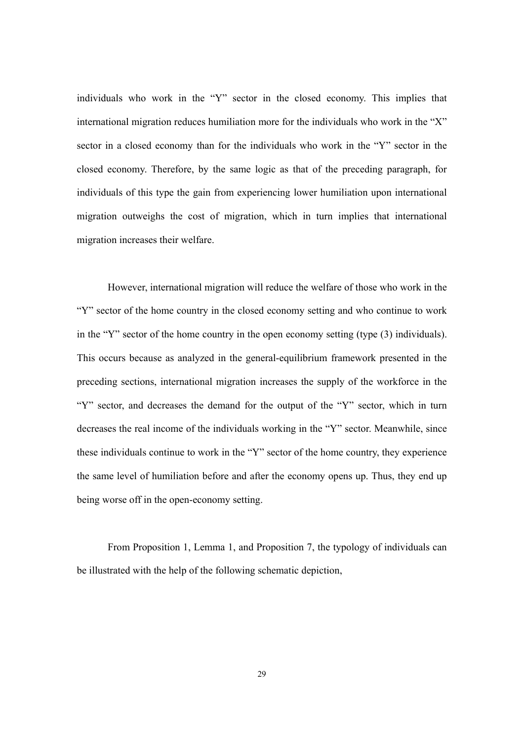individuals who work in the "Y" sector in the closed economy. This implies that international migration reduces humiliation more for the individuals who work in the "X" sector in a closed economy than for the individuals who work in the "Y" sector in the closed economy. Therefore, by the same logic as that of the preceding paragraph, for individuals of this type the gain from experiencing lower humiliation upon international migration outweighs the cost of migration, which in turn implies that international migration increases their welfare.

However, international migration will reduce the welfare of those who work in the "Y" sector of the home country in the closed economy setting and who continue to work in the "Y" sector of the home country in the open economy setting (type (3) individuals). This occurs because as analyzed in the general-equilibrium framework presented in the preceding sections, international migration increases the supply of the workforce in the "Y" sector, and decreases the demand for the output of the "Y" sector, which in turn decreases the real income of the individuals working in the "Y" sector. Meanwhile, since these individuals continue to work in the "Y" sector of the home country, they experience the same level of humiliation before and after the economy opens up. Thus, they end up being worse off in the open-economy setting.

From Proposition 1, Lemma 1, and Proposition 7, the typology of individuals can be illustrated with the help of the following schematic depiction,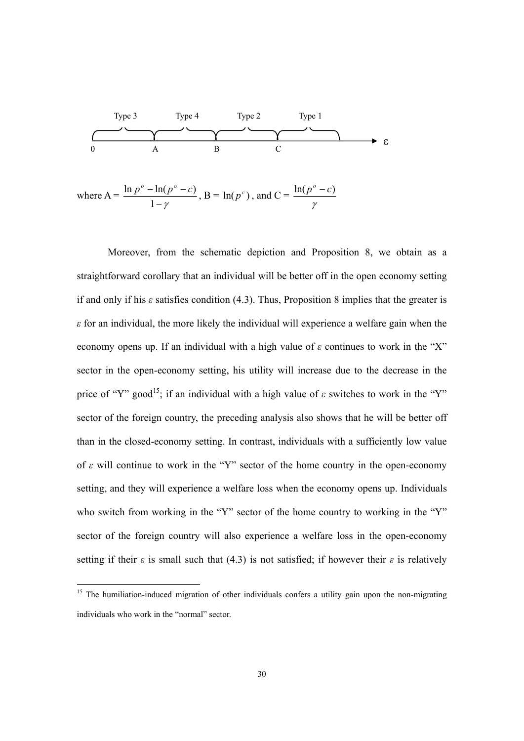

Moreover, from the schematic depiction and Proposition 8, we obtain as a straightforward corollary that an individual will be better off in the open economy setting if and only if his  $\varepsilon$  satisfies condition (4.3). Thus, Proposition 8 implies that the greater is *ε* for an individual, the more likely the individual will experience a welfare gain when the economy opens up. If an individual with a high value of *ε* continues to work in the "X" sector in the open-economy setting, his utility will increase due to the decrease in the price of "Y" good<sup>15</sup>; if an individual with a high value of  $\varepsilon$  switches to work in the "Y" sector of the foreign country, the preceding analysis also shows that he will be better off than in the closed-economy setting. In contrast, individuals with a sufficiently low value of *ε* will continue to work in the "Y" sector of the home country in the open-economy setting, and they will experience a welfare loss when the economy opens up. Individuals who switch from working in the "Y" sector of the home country to working in the "Y" sector of the foreign country will also experience a welfare loss in the open-economy setting if their  $\varepsilon$  is small such that (4.3) is not satisfied; if however their  $\varepsilon$  is relatively

<sup>&</sup>lt;sup>15</sup> The humiliation-induced migration of other individuals confers a utility gain upon the non-migrating individuals who work in the "normal" sector.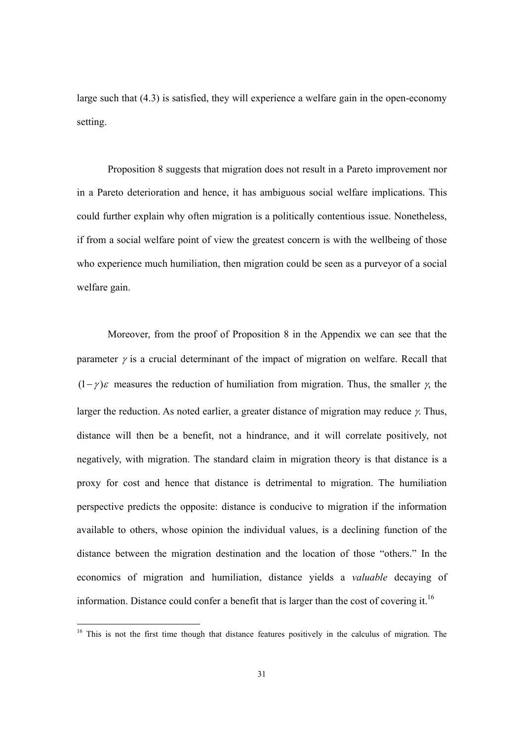large such that (4.3) is satisfied, they will experience a welfare gain in the open-economy setting.

Proposition 8 suggests that migration does not result in a Pareto improvement nor in a Pareto deterioration and hence, it has ambiguous social welfare implications. This could further explain why often migration is a politically contentious issue. Nonetheless, if from a social welfare point of view the greatest concern is with the wellbeing of those who experience much humiliation, then migration could be seen as a purveyor of a social welfare gain.

Moreover, from the proof of Proposition 8 in the Appendix we can see that the parameter  $\gamma$  is a crucial determinant of the impact of migration on welfare. Recall that  $(1 - \gamma)\varepsilon$  measures the reduction of humiliation from migration. Thus, the smaller  $\gamma$ , the larger the reduction. As noted earlier, a greater distance of migration may reduce γ. Thus, distance will then be a benefit, not a hindrance, and it will correlate positively, not negatively, with migration. The standard claim in migration theory is that distance is a proxy for cost and hence that distance is detrimental to migration. The humiliation perspective predicts the opposite: distance is conducive to migration if the information available to others, whose opinion the individual values, is a declining function of the distance between the migration destination and the location of those "others." In the economics of migration and humiliation, distance yields a *valuable* decaying of information. Distance could confer a benefit that is larger than the cost of covering it.<sup>16</sup>

<sup>&</sup>lt;sup>16</sup> This is not the first time though that distance features positively in the calculus of migration. The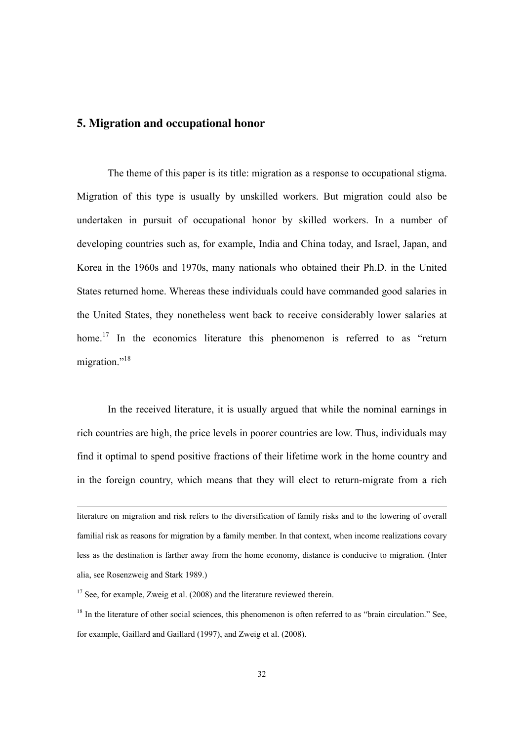# **5. Migration and occupational honor**

The theme of this paper is its title: migration as a response to occupational stigma. Migration of this type is usually by unskilled workers. But migration could also be undertaken in pursuit of occupational honor by skilled workers. In a number of developing countries such as, for example, India and China today, and Israel, Japan, and Korea in the 1960s and 1970s, many nationals who obtained their Ph.D. in the United States returned home. Whereas these individuals could have commanded good salaries in the United States, they nonetheless went back to receive considerably lower salaries at home.<sup>17</sup> In the economics literature this phenomenon is referred to as "return migration."<sup>18</sup>

In the received literature, it is usually argued that while the nominal earnings in rich countries are high, the price levels in poorer countries are low. Thus, individuals may find it optimal to spend positive fractions of their lifetime work in the home country and in the foreign country, which means that they will elect to return-migrate from a rich

literature on migration and risk refers to the diversification of family risks and to the lowering of overall familial risk as reasons for migration by a family member. In that context, when income realizations covary less as the destination is farther away from the home economy, distance is conducive to migration. (Inter alia, see Rosenzweig and Stark 1989.)

 $17$  See, for example, Zweig et al. (2008) and the literature reviewed therein.

 $18$  In the literature of other social sciences, this phenomenon is often referred to as "brain circulation." See, for example, Gaillard and Gaillard (1997), and Zweig et al. (2008).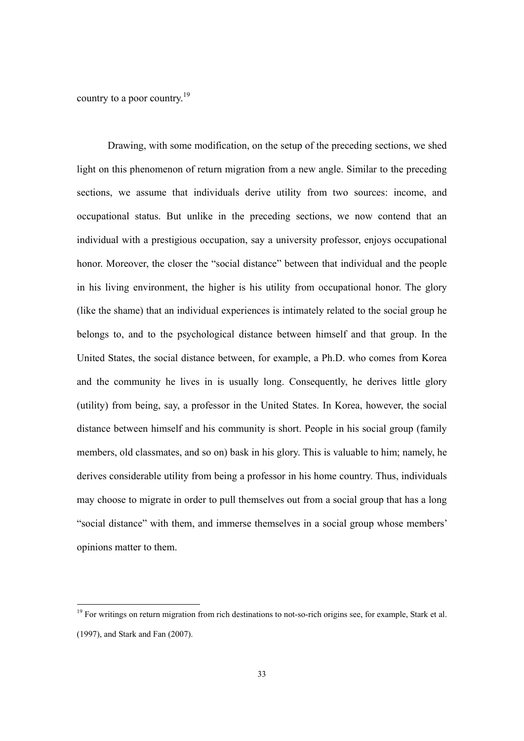country to a poor country.<sup>19</sup>

-

Drawing, with some modification, on the setup of the preceding sections, we shed light on this phenomenon of return migration from a new angle. Similar to the preceding sections, we assume that individuals derive utility from two sources: income, and occupational status. But unlike in the preceding sections, we now contend that an individual with a prestigious occupation, say a university professor, enjoys occupational honor. Moreover, the closer the "social distance" between that individual and the people in his living environment, the higher is his utility from occupational honor. The glory (like the shame) that an individual experiences is intimately related to the social group he belongs to, and to the psychological distance between himself and that group. In the United States, the social distance between, for example, a Ph.D. who comes from Korea and the community he lives in is usually long. Consequently, he derives little glory (utility) from being, say, a professor in the United States. In Korea, however, the social distance between himself and his community is short. People in his social group (family members, old classmates, and so on) bask in his glory. This is valuable to him; namely, he derives considerable utility from being a professor in his home country. Thus, individuals may choose to migrate in order to pull themselves out from a social group that has a long "social distance" with them, and immerse themselves in a social group whose members' opinions matter to them.

<sup>&</sup>lt;sup>19</sup> For writings on return migration from rich destinations to not-so-rich origins see, for example, Stark et al. (1997), and Stark and Fan (2007).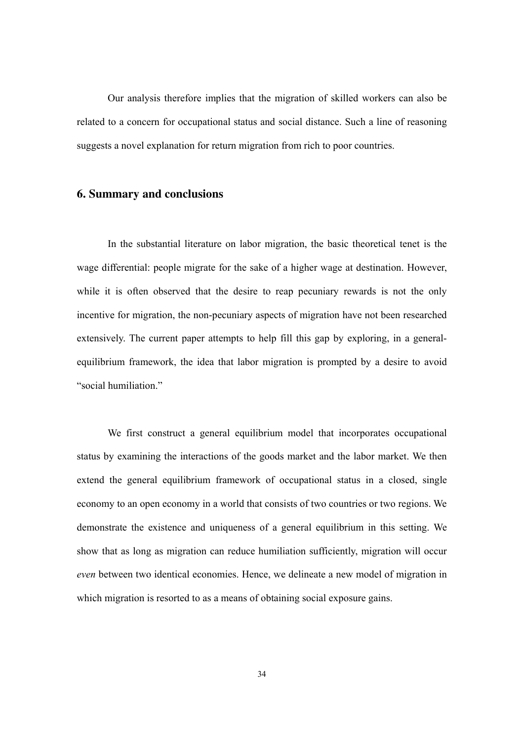Our analysis therefore implies that the migration of skilled workers can also be related to a concern for occupational status and social distance. Such a line of reasoning suggests a novel explanation for return migration from rich to poor countries.

## **6. Summary and conclusions**

In the substantial literature on labor migration, the basic theoretical tenet is the wage differential: people migrate for the sake of a higher wage at destination. However, while it is often observed that the desire to reap pecuniary rewards is not the only incentive for migration, the non-pecuniary aspects of migration have not been researched extensively. The current paper attempts to help fill this gap by exploring, in a generalequilibrium framework, the idea that labor migration is prompted by a desire to avoid "social humiliation."

We first construct a general equilibrium model that incorporates occupational status by examining the interactions of the goods market and the labor market. We then extend the general equilibrium framework of occupational status in a closed, single economy to an open economy in a world that consists of two countries or two regions. We demonstrate the existence and uniqueness of a general equilibrium in this setting. We show that as long as migration can reduce humiliation sufficiently, migration will occur *even* between two identical economies. Hence, we delineate a new model of migration in which migration is resorted to as a means of obtaining social exposure gains.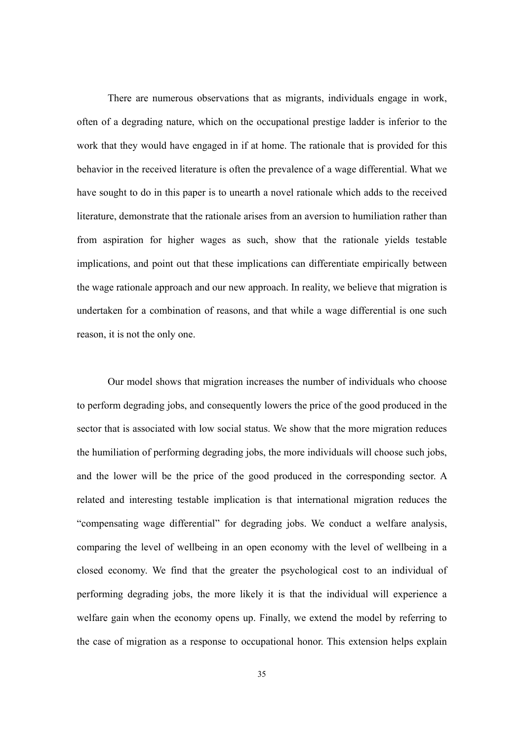There are numerous observations that as migrants, individuals engage in work, often of a degrading nature, which on the occupational prestige ladder is inferior to the work that they would have engaged in if at home. The rationale that is provided for this behavior in the received literature is often the prevalence of a wage differential. What we have sought to do in this paper is to unearth a novel rationale which adds to the received literature, demonstrate that the rationale arises from an aversion to humiliation rather than from aspiration for higher wages as such, show that the rationale yields testable implications, and point out that these implications can differentiate empirically between the wage rationale approach and our new approach. In reality, we believe that migration is undertaken for a combination of reasons, and that while a wage differential is one such reason, it is not the only one.

Our model shows that migration increases the number of individuals who choose to perform degrading jobs, and consequently lowers the price of the good produced in the sector that is associated with low social status. We show that the more migration reduces the humiliation of performing degrading jobs, the more individuals will choose such jobs, and the lower will be the price of the good produced in the corresponding sector. A related and interesting testable implication is that international migration reduces the "compensating wage differential" for degrading jobs. We conduct a welfare analysis, comparing the level of wellbeing in an open economy with the level of wellbeing in a closed economy. We find that the greater the psychological cost to an individual of performing degrading jobs, the more likely it is that the individual will experience a welfare gain when the economy opens up. Finally, we extend the model by referring to the case of migration as a response to occupational honor. This extension helps explain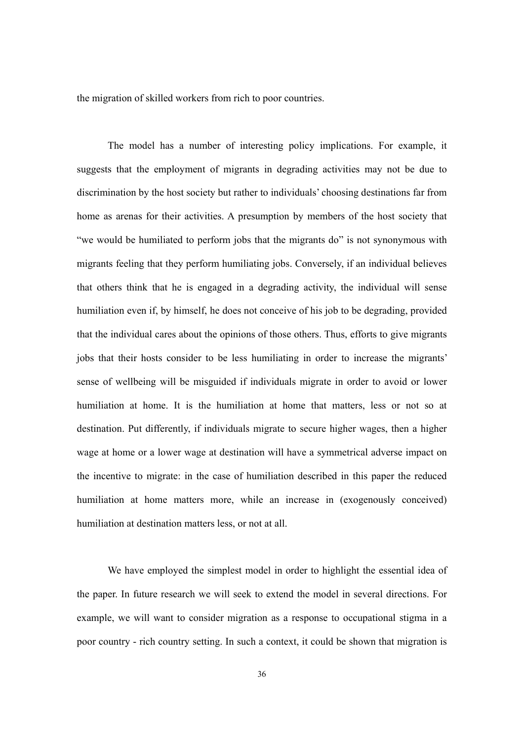the migration of skilled workers from rich to poor countries.

The model has a number of interesting policy implications. For example, it suggests that the employment of migrants in degrading activities may not be due to discrimination by the host society but rather to individuals' choosing destinations far from home as arenas for their activities. A presumption by members of the host society that "we would be humiliated to perform jobs that the migrants do" is not synonymous with migrants feeling that they perform humiliating jobs. Conversely, if an individual believes that others think that he is engaged in a degrading activity, the individual will sense humiliation even if, by himself, he does not conceive of his job to be degrading, provided that the individual cares about the opinions of those others. Thus, efforts to give migrants jobs that their hosts consider to be less humiliating in order to increase the migrants' sense of wellbeing will be misguided if individuals migrate in order to avoid or lower humiliation at home. It is the humiliation at home that matters, less or not so at destination. Put differently, if individuals migrate to secure higher wages, then a higher wage at home or a lower wage at destination will have a symmetrical adverse impact on the incentive to migrate: in the case of humiliation described in this paper the reduced humiliation at home matters more, while an increase in (exogenously conceived) humiliation at destination matters less, or not at all.

We have employed the simplest model in order to highlight the essential idea of the paper. In future research we will seek to extend the model in several directions. For example, we will want to consider migration as a response to occupational stigma in a poor country - rich country setting. In such a context, it could be shown that migration is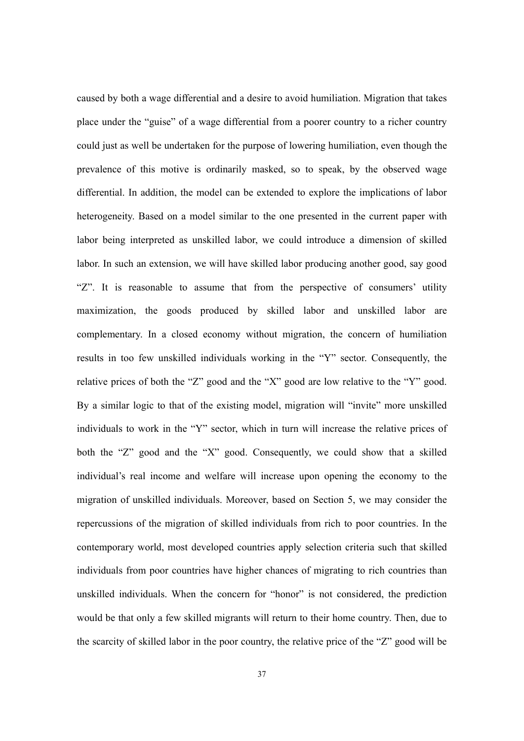caused by both a wage differential and a desire to avoid humiliation. Migration that takes place under the "guise" of a wage differential from a poorer country to a richer country could just as well be undertaken for the purpose of lowering humiliation, even though the prevalence of this motive is ordinarily masked, so to speak, by the observed wage differential. In addition, the model can be extended to explore the implications of labor heterogeneity. Based on a model similar to the one presented in the current paper with labor being interpreted as unskilled labor, we could introduce a dimension of skilled labor. In such an extension, we will have skilled labor producing another good, say good "Z". It is reasonable to assume that from the perspective of consumers' utility maximization, the goods produced by skilled labor and unskilled labor are complementary. In a closed economy without migration, the concern of humiliation results in too few unskilled individuals working in the "Y" sector. Consequently, the relative prices of both the "Z" good and the "X" good are low relative to the "Y" good. By a similar logic to that of the existing model, migration will "invite" more unskilled individuals to work in the "Y" sector, which in turn will increase the relative prices of both the "Z" good and the "X" good. Consequently, we could show that a skilled individual's real income and welfare will increase upon opening the economy to the migration of unskilled individuals. Moreover, based on Section 5, we may consider the repercussions of the migration of skilled individuals from rich to poor countries. In the contemporary world, most developed countries apply selection criteria such that skilled individuals from poor countries have higher chances of migrating to rich countries than unskilled individuals. When the concern for "honor" is not considered, the prediction would be that only a few skilled migrants will return to their home country. Then, due to the scarcity of skilled labor in the poor country, the relative price of the "Z" good will be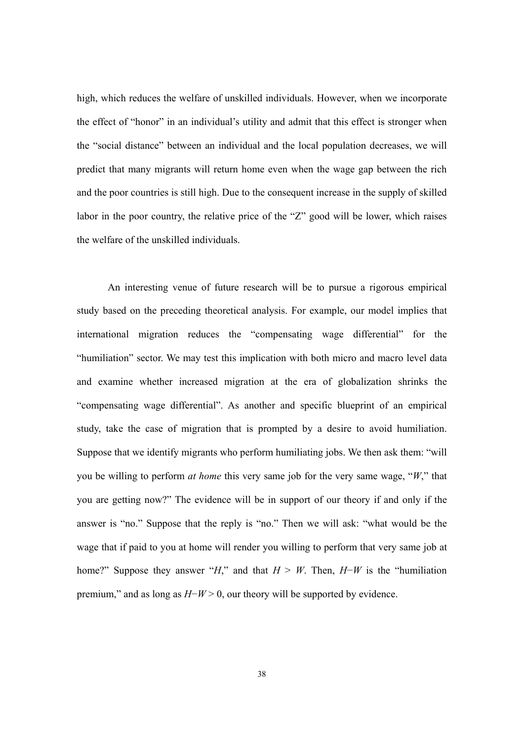high, which reduces the welfare of unskilled individuals. However, when we incorporate the effect of "honor" in an individual's utility and admit that this effect is stronger when the "social distance" between an individual and the local population decreases, we will predict that many migrants will return home even when the wage gap between the rich and the poor countries is still high. Due to the consequent increase in the supply of skilled labor in the poor country, the relative price of the "Z" good will be lower, which raises the welfare of the unskilled individuals.

An interesting venue of future research will be to pursue a rigorous empirical study based on the preceding theoretical analysis. For example, our model implies that international migration reduces the "compensating wage differential" for the "humiliation" sector. We may test this implication with both micro and macro level data and examine whether increased migration at the era of globalization shrinks the "compensating wage differential". As another and specific blueprint of an empirical study, take the case of migration that is prompted by a desire to avoid humiliation. Suppose that we identify migrants who perform humiliating jobs. We then ask them: "will you be willing to perform *at home* this very same job for the very same wage, "*W*," that you are getting now?" The evidence will be in support of our theory if and only if the answer is "no." Suppose that the reply is "no." Then we will ask: "what would be the wage that if paid to you at home will render you willing to perform that very same job at home?" Suppose they answer "*H*," and that  $H > W$ . Then,  $H-W$  is the "humiliation" premium," and as long as *H*−*W* > 0, our theory will be supported by evidence.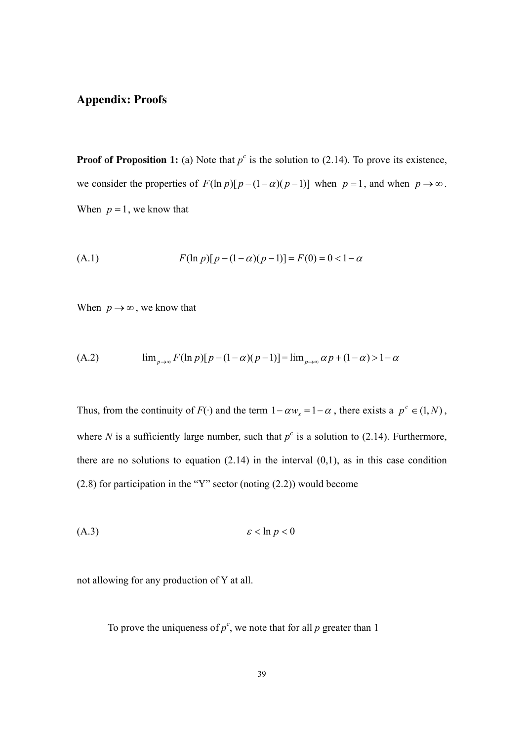## **Appendix: Proofs**

**Proof of Proposition 1:** (a) Note that  $p^c$  is the solution to (2.14). To prove its existence, we consider the properties of  $F(\ln p)[p - (1 - \alpha)(p - 1)]$  when  $p = 1$ , and when  $p \to \infty$ . When  $p = 1$ , we know that

(A.1) 
$$
F(\ln p)[p-(1-\alpha)(p-1)] = F(0) = 0 < 1-\alpha
$$

When  $p \rightarrow \infty$ , we know that

(A.2) 
$$
\lim_{p \to \infty} F(\ln p)[p - (1 - \alpha)(p - 1)] = \lim_{p \to \infty} \alpha p + (1 - \alpha) > 1 - \alpha
$$

Thus, from the continuity of *F*( $\cdot$ ) and the term  $1 - \alpha w_x = 1 - \alpha$ , there exists a  $p^c \in (1, N)$ , where *N* is a sufficiently large number, such that  $p^c$  is a solution to (2.14). Furthermore, there are no solutions to equation  $(2.14)$  in the interval  $(0,1)$ , as in this case condition (2.8) for participation in the "Y" sector (noting (2.2)) would become

$$
(A.3) \t\t\t\t\varepsilon < \ln p < 0
$$

not allowing for any production of Y at all.

To prove the uniqueness of  $p^c$ , we note that for all  $p$  greater than 1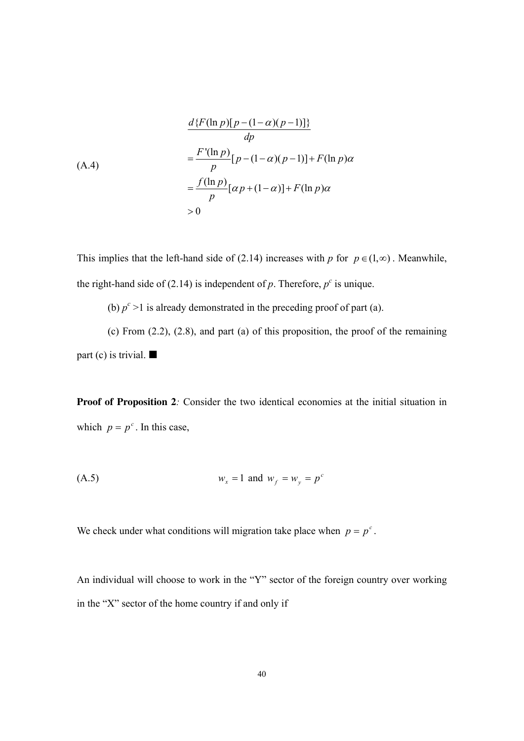$$
\frac{d\{F(\ln p)[p - (1 - \alpha)(p - 1)]\}}{dp}
$$
\n(A.4)\n
$$
= \frac{F'(\ln p)}{p}[p - (1 - \alpha)(p - 1)] + F(\ln p)\alpha
$$
\n
$$
= \frac{f(\ln p)}{p}[\alpha p + (1 - \alpha)] + F(\ln p)\alpha
$$
\n
$$
> 0
$$

This implies that the left-hand side of (2.14) increases with *p* for  $p \in (1, \infty)$ . Meanwhile, the right-hand side of (2.14) is independent of  $p$ . Therefore,  $p^c$  is unique.

(b)  $p^c > 1$  is already demonstrated in the preceding proof of part (a).

(c) From (2.2), (2.8), and part (a) of this proposition, the proof of the remaining part (c) is trivial.  $\blacksquare$ 

**Proof of Proposition 2***:* Consider the two identical economies at the initial situation in which  $p = p^c$ . In this case,

(A.5) 
$$
w_x = 1
$$
 and  $w_f = w_y = p^c$ 

We check under what conditions will migration take place when  $p = p^c$ .

An individual will choose to work in the "Y" sector of the foreign country over working in the "X" sector of the home country if and only if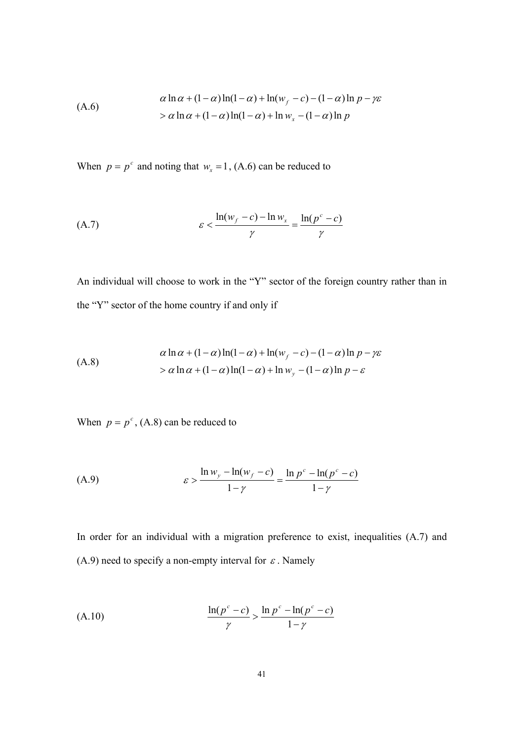$$
\alpha \ln \alpha + (1 - \alpha) \ln(1 - \alpha) + \ln(w_f - c) - (1 - \alpha) \ln p - \gamma \varepsilon
$$
  
> 
$$
\alpha \ln \alpha + (1 - \alpha) \ln(1 - \alpha) + \ln w_x - (1 - \alpha) \ln p
$$

When  $p = p^c$  and noting that  $w_x = 1$ , (A.6) can be reduced to

$$
\mathcal{E} < \frac{\ln(w_f - c) - \ln w_x}{\gamma} = \frac{\ln(p^c - c)}{\gamma}
$$

An individual will choose to work in the "Y" sector of the foreign country rather than in the "Y" sector of the home country if and only if

$$
\alpha \ln \alpha + (1 - \alpha) \ln(1 - \alpha) + \ln(w_f - c) - (1 - \alpha) \ln p - \gamma \varepsilon
$$
  
>  $\alpha \ln \alpha + (1 - \alpha) \ln(1 - \alpha) + \ln w_y - (1 - \alpha) \ln p - \varepsilon$ 

When  $p = p^c$ , (A.8) can be reduced to

(A.9) 
$$
\varepsilon > \frac{\ln w_y - \ln(w_f - c)}{1 - \gamma} = \frac{\ln p^c - \ln(p^c - c)}{1 - \gamma}
$$

In order for an individual with a migration preference to exist, inequalities (A.7) and (A.9) need to specify a non-empty interval for  $\varepsilon$ . Namely

$$
\frac{\ln(p^c - c)}{\gamma} > \frac{\ln p^c - \ln(p^c - c)}{1 - \gamma}
$$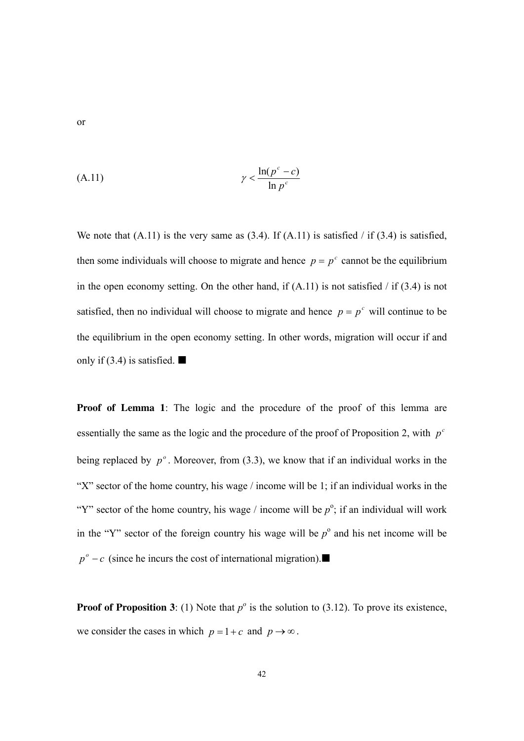$$
\gamma < \frac{\ln(p^c - c)}{\ln p^c}
$$

We note that  $(A.11)$  is the very same as  $(3.4)$ . If  $(A.11)$  is satisfied / if  $(3.4)$  is satisfied, then some individuals will choose to migrate and hence  $p = p^c$  cannot be the equilibrium in the open economy setting. On the other hand, if  $(A.11)$  is not satisfied / if  $(3.4)$  is not satisfied, then no individual will choose to migrate and hence  $p = p^c$  will continue to be the equilibrium in the open economy setting. In other words, migration will occur if and only if (3.4) is satisfied.  $\blacksquare$ 

**Proof of Lemma 1**: The logic and the procedure of the proof of this lemma are essentially the same as the logic and the procedure of the proof of Proposition 2, with  $p^c$ being replaced by  $p^{\circ}$ . Moreover, from (3.3), we know that if an individual works in the "X" sector of the home country, his wage / income will be 1; if an individual works in the "Y" sector of the home country, his wage / income will be  $p^{\circ}$ ; if an individual will work in the "Y" sector of the foreign country his wage will be  $p^{\circ}$  and his net income will be  $p^{\circ}$  – *c* (since he incurs the cost of international migration).

**Proof of Proposition 3:** (1) Note that  $p^{\circ}$  is the solution to (3.12). To prove its existence, we consider the cases in which  $p = 1 + c$  and  $p \rightarrow \infty$ .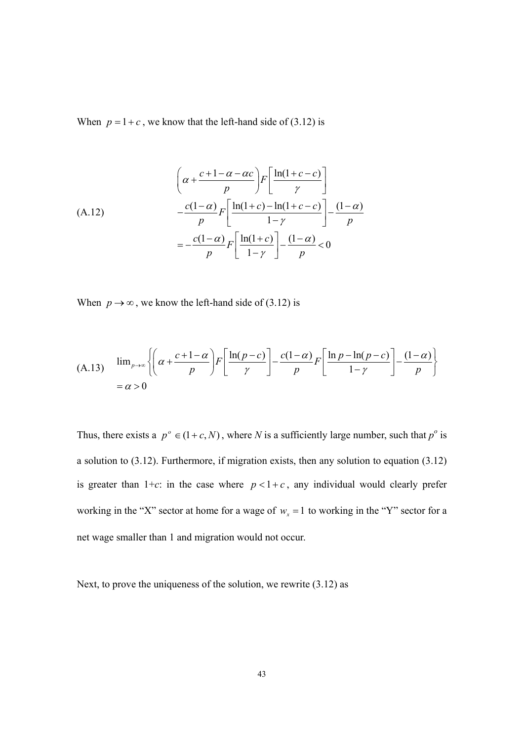When  $p = 1 + c$ , we know that the left-hand side of (3.12) is

$$
\left(\alpha + \frac{c+1-\alpha-\alpha c}{p}\right)F\left[\frac{\ln(1+c-c)}{\gamma}\right]
$$
\n(A.12)\n
$$
-\frac{c(1-\alpha)}{p}F\left[\frac{\ln(1+c)-\ln(1+c-c)}{1-\gamma}\right] - \frac{(1-\alpha)}{p}
$$
\n
$$
=-\frac{c(1-\alpha)}{p}F\left[\frac{\ln(1+c)}{1-\gamma}\right] - \frac{(1-\alpha)}{p} < 0
$$

When  $p \rightarrow \infty$ , we know the left-hand side of (3.12) is

(A.13) 
$$
\lim_{p \to \infty} \left\{ \left( \alpha + \frac{c + 1 - \alpha}{p} \right) F \left[ \frac{\ln(p - c)}{\gamma} \right] - \frac{c(1 - \alpha)}{p} F \left[ \frac{\ln p - \ln(p - c)}{1 - \gamma} \right] - \frac{(1 - \alpha)}{p} \right\}
$$

$$
= \alpha > 0
$$

Thus, there exists a  $p^{\circ} \in (1 + c, N)$ , where *N* is a sufficiently large number, such that  $p^{\circ}$  is a solution to (3.12). Furthermore, if migration exists, then any solution to equation (3.12) is greater than  $1+c$ : in the case where  $p < 1+c$ , any individual would clearly prefer working in the "X" sector at home for a wage of  $w_x = 1$  to working in the "Y" sector for a net wage smaller than 1 and migration would not occur.

Next, to prove the uniqueness of the solution, we rewrite (3.12) as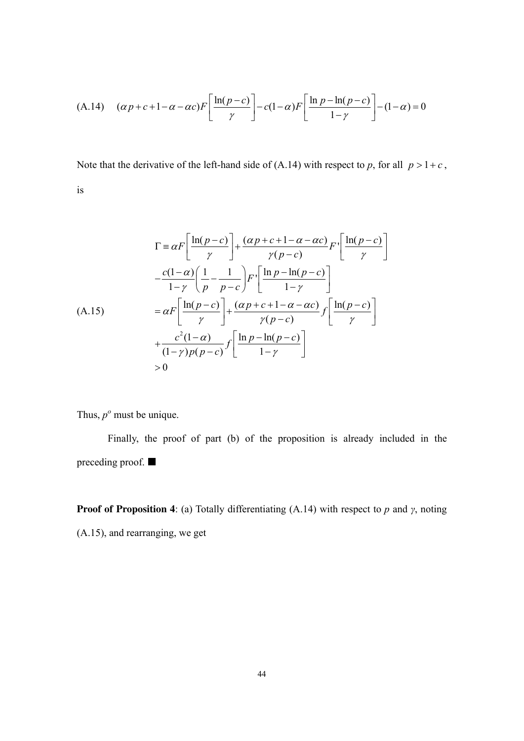(A.14) 
$$
(\alpha p + c + 1 - \alpha - \alpha c) F\left[\frac{\ln(p - c)}{\gamma}\right] - c(1 - \alpha) F\left[\frac{\ln p - \ln(p - c)}{1 - \gamma}\right] - (1 - \alpha) = 0
$$

Note that the derivative of the left-hand side of (A.14) with respect to *p*, for all  $p > 1+c$ ,

is

$$
\Gamma = \alpha F \left[ \frac{\ln(p-c)}{\gamma} \right] + \frac{(\alpha p + c + 1 - \alpha - \alpha c)}{\gamma(p-c)} F \left[ \frac{\ln(p-c)}{\gamma} \right]
$$

$$
- \frac{c(1-\alpha)}{1-\gamma} \left( \frac{1}{p} - \frac{1}{p-c} \right) F \left[ \frac{\ln p - \ln(p-c)}{1-\gamma} \right]
$$

$$
= \alpha F \left[ \frac{\ln(p-c)}{\gamma} \right] + \frac{(\alpha p + c + 1 - \alpha - \alpha c)}{\gamma(p-c)} f \left[ \frac{\ln(p-c)}{\gamma} \right]
$$

$$
+ \frac{c^2(1-\alpha)}{(1-\gamma)p(p-c)} f \left[ \frac{\ln p - \ln(p-c)}{1-\gamma} \right]
$$

$$
> 0
$$

Thus,  $p^{\circ}$  must be unique.

Finally, the proof of part (b) of the proposition is already included in the preceding proof.

**Proof of Proposition 4**: (a) Totally differentiating (A.14) with respect to *p* and *γ*, noting

(A.15), and rearranging, we get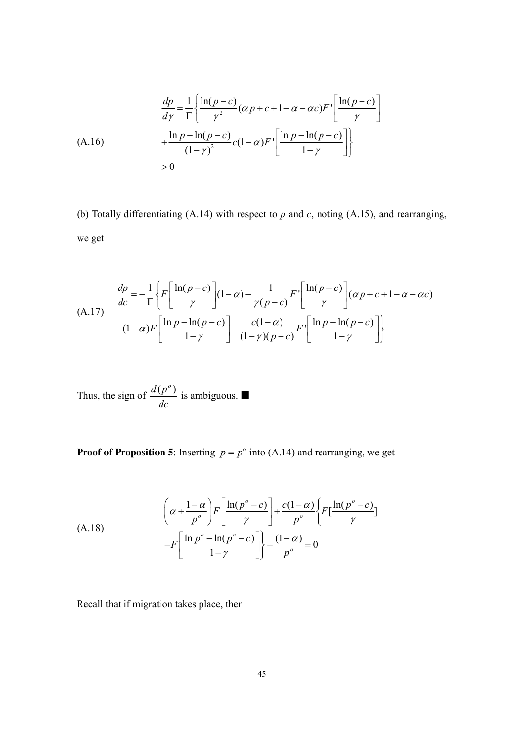$$
\frac{dp}{d\gamma} = \frac{1}{\Gamma} \left\{ \frac{\ln(p-c)}{\gamma^2} (\alpha p + c + 1 - \alpha - \alpha c) F \left[ \frac{\ln(p-c)}{\gamma} \right] + \frac{\ln p - \ln(p-c)}{(1-\gamma)^2} c (1-\alpha) F \left[ \frac{\ln p - \ln(p-c)}{1-\gamma} \right] \right\}
$$
\n
$$
> 0
$$

(b) Totally differentiating (A.14) with respect to *p* and *c*, noting (A.15), and rearranging, we get

$$
\frac{dp}{dc} = -\frac{1}{\Gamma} \left\{ F \left[ \frac{\ln(p-c)}{\gamma} \right] (1-\alpha) - \frac{1}{\gamma(p-c)} F \left[ \frac{\ln(p-c)}{\gamma} \right] (\alpha p + c + 1 - \alpha - \alpha c)
$$
\n
$$
-(1-\alpha) F \left[ \frac{\ln p - \ln(p-c)}{1-\gamma} \right] - \frac{c(1-\alpha)}{(1-\gamma)(p-c)} F \left[ \frac{\ln p - \ln(p-c)}{1-\gamma} \right] \right\}
$$

Thus, the sign of 
$$
\frac{d(p^o)}{dc}
$$
 is ambiguous.

**Proof of Proposition 5**: Inserting  $p = p^{\circ}$  into (A.14) and rearranging, we get

$$
\left(\alpha + \frac{1-\alpha}{p^o}\right) F\left[\frac{\ln(p^o - c)}{\gamma}\right] + \frac{c(1-\alpha)}{p^o} \left\{ F\left[\frac{\ln(p^o - c)}{\gamma}\right] - F\left[\frac{\ln p^o - \ln(p^o - c)}{1-\gamma}\right] \right\} - \frac{(1-\alpha)}{p^o} = 0
$$

Recall that if migration takes place, then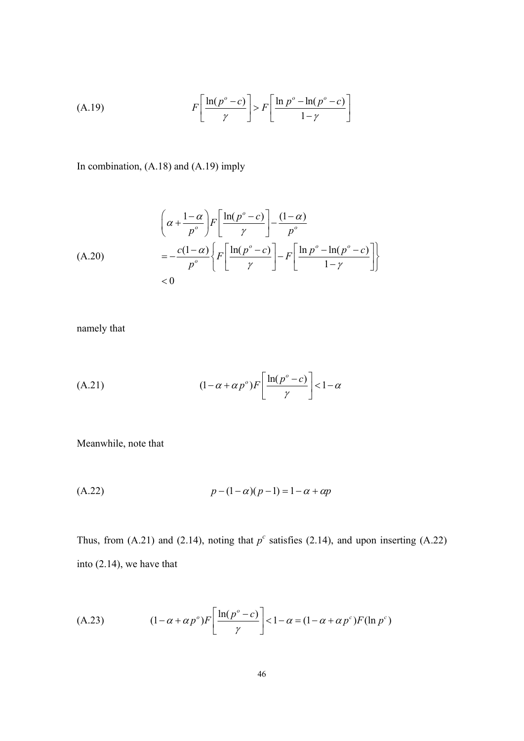(A.19) 
$$
F\left[\frac{\ln(p^o - c)}{\gamma}\right] > F\left[\frac{\ln p^o - \ln(p^o - c)}{1 - \gamma}\right]
$$

In combination, (A.18) and (A.19) imply

$$
\left(\alpha + \frac{1-\alpha}{p^o}\right)F\left[\frac{\ln(p^o - c)}{\gamma}\right] - \frac{(1-\alpha)}{p^o}
$$
\n
$$
= -\frac{c(1-\alpha)}{p^o}\left\{F\left[\frac{\ln(p^o - c)}{\gamma}\right] - F\left[\frac{\ln p^o - \ln(p^o - c)}{1-\gamma}\right]\right\}
$$
\n
$$
< 0
$$

namely that

(A.21) 
$$
(1 - \alpha + \alpha p^{\circ}) F\left[\frac{\ln(p^{\circ} - c)}{\gamma}\right] < 1 - \alpha
$$

Meanwhile, note that

(A.22) 
$$
p - (1 - \alpha)(p - 1) = 1 - \alpha + \alpha p
$$

Thus, from  $(A.21)$  and  $(2.14)$ , noting that  $p^c$  satisfies  $(2.14)$ , and upon inserting  $(A.22)$ into (2.14), we have that

(A.23) 
$$
(1 - \alpha + \alpha p^{\circ}) F\left[\frac{\ln(p^{\circ} - c)}{\gamma}\right] < 1 - \alpha = (1 - \alpha + \alpha p^{\circ}) F(\ln p^{\circ})
$$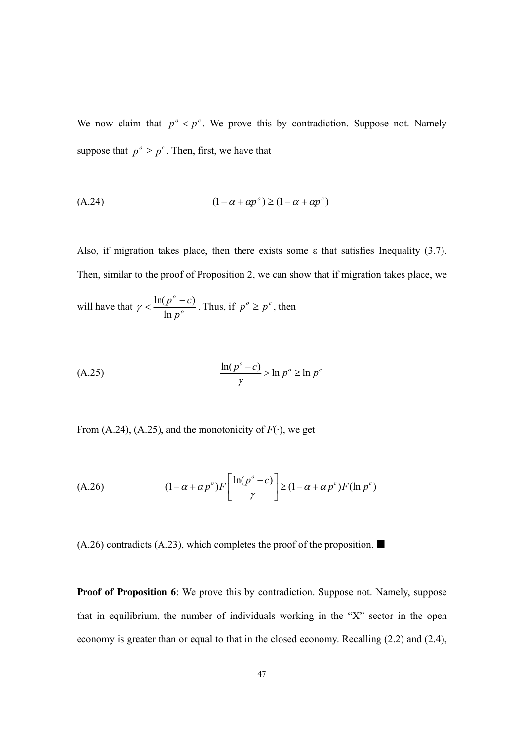We now claim that  $p^{\circ} < p^{\circ}$ . We prove this by contradiction. Suppose not. Namely suppose that  $p^{\circ} \geq p^{\circ}$ . Then, first, we have that

$$
(A.24) \qquad (1 - \alpha + \alpha p^{\circ}) \ge (1 - \alpha + \alpha p^{\circ})
$$

Also, if migration takes place, then there exists some  $\varepsilon$  that satisfies Inequality (3.7). Then, similar to the proof of Proposition 2, we can show that if migration takes place, we will have that  $\gamma < \frac{m(p)}{\ln p^{\theta}}$ *o p*  $p^o - c$ ln  $\gamma < \frac{\ln(p^{\circ} - c)}{p^{\circ}}$ . Thus, if  $p^{\circ} \ge p^{\circ}$ , then

$$
\frac{\ln(p^o - c)}{\gamma} > \ln p^o \ge \ln p^c
$$

From (A.24), (A.25), and the monotonicity of  $F(\cdot)$ , we get

(A.26) 
$$
(1 - \alpha + \alpha p^{\circ}) F\left[\frac{\ln(p^{\circ} - c)}{\gamma}\right] \ge (1 - \alpha + \alpha p^{\circ}) F(\ln p^{\circ})
$$

 $(A.26)$  contradicts  $(A.23)$ , which completes the proof of the proposition.

**Proof of Proposition 6**: We prove this by contradiction. Suppose not. Namely, suppose that in equilibrium, the number of individuals working in the "X" sector in the open economy is greater than or equal to that in the closed economy. Recalling (2.2) and (2.4),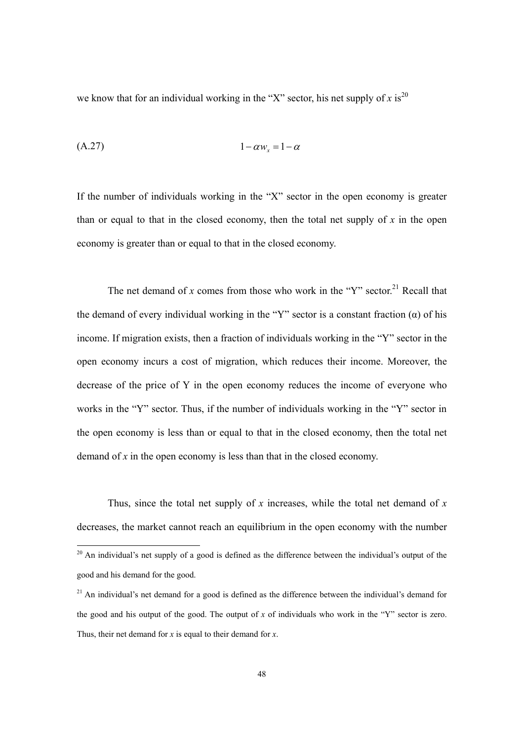we know that for an individual working in the "X" sector, his net supply of  $x$  is<sup>20</sup>

$$
(A.27) \t\t\t 1 - \alpha w_x = 1 - \alpha
$$

If the number of individuals working in the "X" sector in the open economy is greater than or equal to that in the closed economy, then the total net supply of *x* in the open economy is greater than or equal to that in the closed economy.

The net demand of *x* comes from those who work in the "Y" sector.<sup>21</sup> Recall that the demand of every individual working in the "Y" sector is a constant fraction  $(\alpha)$  of his income. If migration exists, then a fraction of individuals working in the "Y" sector in the open economy incurs a cost of migration, which reduces their income. Moreover, the decrease of the price of Y in the open economy reduces the income of everyone who works in the "Y" sector. Thus, if the number of individuals working in the "Y" sector in the open economy is less than or equal to that in the closed economy, then the total net demand of *x* in the open economy is less than that in the closed economy.

Thus, since the total net supply of *x* increases, while the total net demand of *x* decreases, the market cannot reach an equilibrium in the open economy with the number

 $20$  An individual's net supply of a good is defined as the difference between the individual's output of the good and his demand for the good.

 $21$  An individual's net demand for a good is defined as the difference between the individual's demand for the good and his output of the good. The output of *x* of individuals who work in the "Y" sector is zero. Thus, their net demand for *x* is equal to their demand for *x*.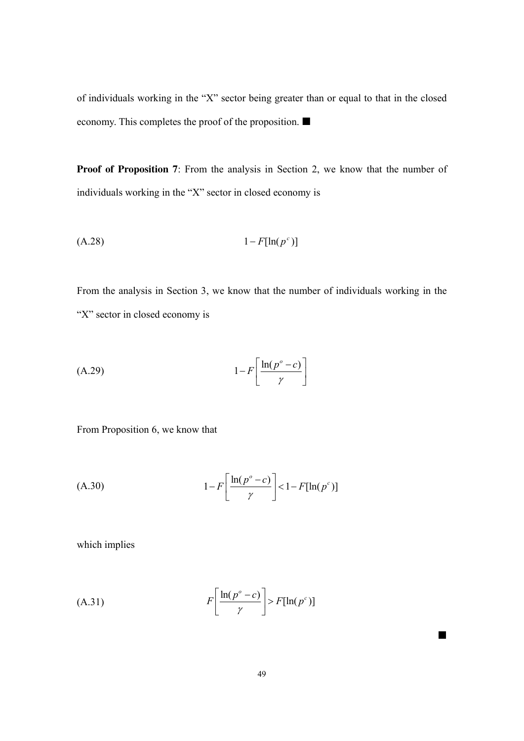of individuals working in the "X" sector being greater than or equal to that in the closed economy. This completes the proof of the proposition.

**Proof of Proposition 7**: From the analysis in Section 2, we know that the number of individuals working in the "X" sector in closed economy is

$$
(A.28) \t\t\t 1-F[\ln(p^c)]
$$

From the analysis in Section 3, we know that the number of individuals working in the "X" sector in closed economy is

$$
(A.29) \t1-F\left[\frac{\ln(p^o-c)}{\gamma}\right]
$$

From Proposition 6, we know that

$$
(A.30) \t1-F\left[\frac{\ln(p^o-c)}{\gamma}\right] < 1-F[\ln(p^c)]
$$

which implies

(A.31) 
$$
F\left[\frac{\ln(p^{\circ} - c)}{\gamma}\right] > F[\ln(p^{\circ})]
$$

 $\blacksquare$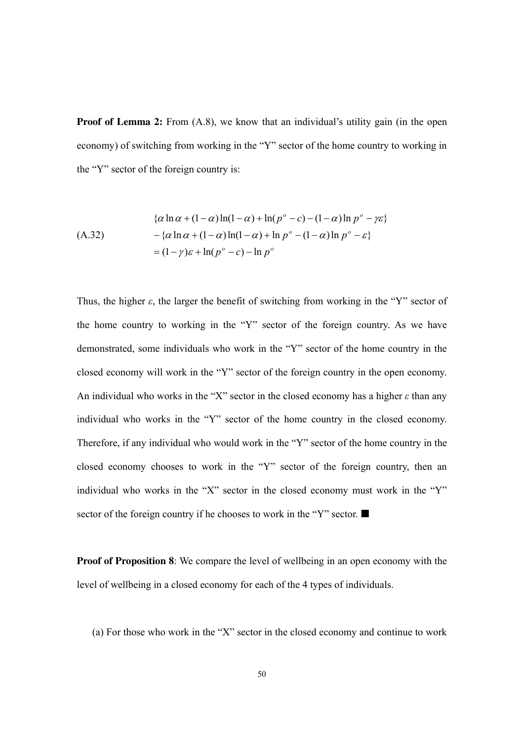**Proof of Lemma 2:** From  $(A.8)$ , we know that an individual's utility gain (in the open economy) of switching from working in the "Y" sector of the home country to working in the "Y" sector of the foreign country is:

$$
\{\alpha \ln \alpha + (1 - \alpha) \ln(1 - \alpha) + \ln(p^{\circ} - c) - (1 - \alpha) \ln p^{\circ} - \gamma \varepsilon\}
$$
  
\n
$$
-\{\alpha \ln \alpha + (1 - \alpha) \ln(1 - \alpha) + \ln p^{\circ} - (1 - \alpha) \ln p^{\circ} - \varepsilon\}
$$
  
\n
$$
= (1 - \gamma)\varepsilon + \ln(p^{\circ} - c) - \ln p^{\circ}
$$

Thus, the higher  $\varepsilon$ , the larger the benefit of switching from working in the "Y" sector of the home country to working in the "Y" sector of the foreign country. As we have demonstrated, some individuals who work in the "Y" sector of the home country in the closed economy will work in the "Y" sector of the foreign country in the open economy. An individual who works in the "X" sector in the closed economy has a higher *ε* than any individual who works in the "Y" sector of the home country in the closed economy. Therefore, if any individual who would work in the "Y" sector of the home country in the closed economy chooses to work in the "Y" sector of the foreign country, then an individual who works in the "X" sector in the closed economy must work in the "Y" sector of the foreign country if he chooses to work in the "Y" sector.

**Proof of Proposition 8**: We compare the level of wellbeing in an open economy with the level of wellbeing in a closed economy for each of the 4 types of individuals.

(a) For those who work in the "X" sector in the closed economy and continue to work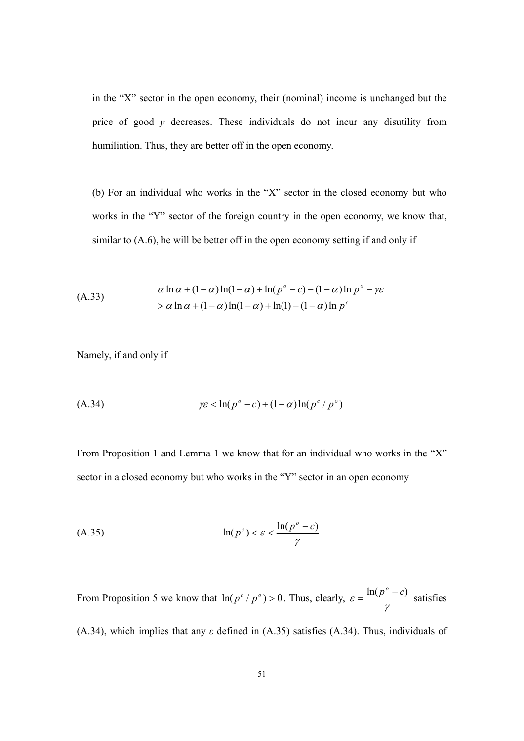in the "X" sector in the open economy, their (nominal) income is unchanged but the price of good *y* decreases. These individuals do not incur any disutility from humiliation. Thus, they are better off in the open economy.

(b) For an individual who works in the "X" sector in the closed economy but who works in the "Y" sector of the foreign country in the open economy, we know that, similar to (A.6), he will be better off in the open economy setting if and only if

(A.33)  
\n
$$
\alpha \ln \alpha + (1 - \alpha) \ln(1 - \alpha) + \ln (p^{\circ} - c) - (1 - \alpha) \ln p^{\circ} - \gamma \varepsilon
$$
\n
$$
> \alpha \ln \alpha + (1 - \alpha) \ln(1 - \alpha) + \ln(1) - (1 - \alpha) \ln p^{\circ}
$$

Namely, if and only if

$$
\gamma \varepsilon < \ln(p^{\circ} - c) + (1 - \alpha) \ln(p^{\circ} / p^{\circ})
$$

From Proposition 1 and Lemma 1 we know that for an individual who works in the "X" sector in a closed economy but who works in the "Y" sector in an open economy

$$
\ln(p^c) < \varepsilon < \frac{\ln(p^o - c)}{\gamma}
$$

From Proposition 5 we know that  $\ln (p^c / p^o) > 0$ . Thus, clearly, γ  $\varepsilon = \frac{\ln(p^o - c)}{\ln(\varepsilon)}$  satisfies

(A.34), which implies that any *ε* defined in (A.35) satisfies (A.34). Thus, individuals of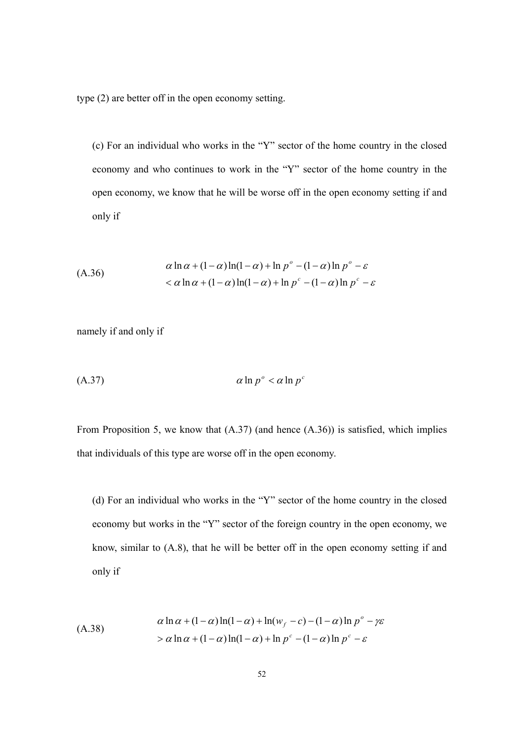type (2) are better off in the open economy setting.

(c) For an individual who works in the "Y" sector of the home country in the closed economy and who continues to work in the "Y" sector of the home country in the open economy, we know that he will be worse off in the open economy setting if and only if

(A.36)  
\n
$$
\alpha \ln \alpha + (1 - \alpha) \ln(1 - \alpha) + \ln p^{\circ} - (1 - \alpha) \ln p^{\circ} - \varepsilon
$$
\n
$$
< \alpha \ln \alpha + (1 - \alpha) \ln(1 - \alpha) + \ln p^{\circ} - (1 - \alpha) \ln p^{\circ} - \varepsilon
$$

namely if and only if

$$
(A.37) \t\t a \ln p^{\circ} < a \ln p^{\circ}
$$

From Proposition 5, we know that (A.37) (and hence (A.36)) is satisfied, which implies that individuals of this type are worse off in the open economy.

(d) For an individual who works in the "Y" sector of the home country in the closed economy but works in the "Y" sector of the foreign country in the open economy, we know, similar to (A.8), that he will be better off in the open economy setting if and only if

(A.38)  
\n
$$
\alpha \ln \alpha + (1 - \alpha) \ln(1 - \alpha) + \ln(w_f - c) - (1 - \alpha) \ln p^{\circ} - \gamma \varepsilon
$$
\n
$$
> \alpha \ln \alpha + (1 - \alpha) \ln(1 - \alpha) + \ln p^{\circ} - (1 - \alpha) \ln p^{\circ} - \varepsilon
$$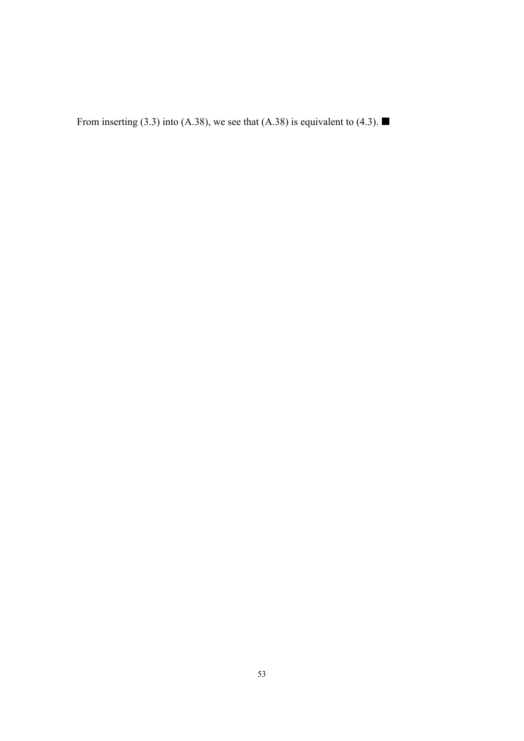From inserting (3.3) into (A.38), we see that (A.38) is equivalent to (4.3).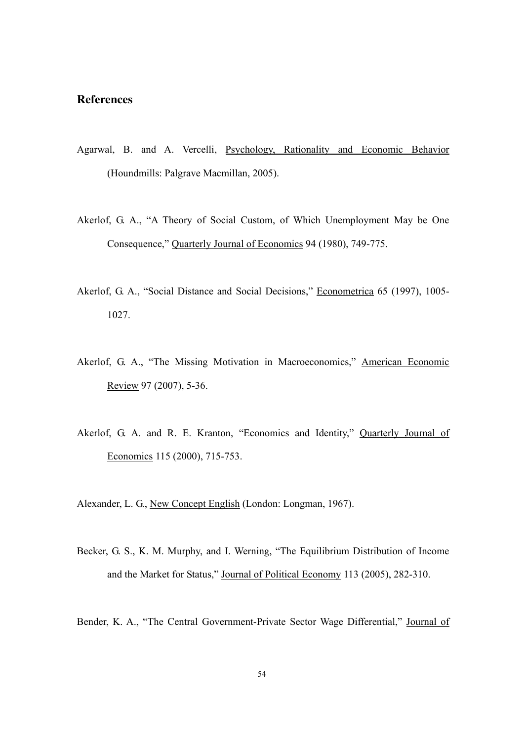## **References**

- Agarwal, B. and A. Vercelli, Psychology, Rationality and Economic Behavior (Houndmills: Palgrave Macmillan, 2005).
- Akerlof, G. A., "A Theory of Social Custom, of Which Unemployment May be One Consequence," Quarterly Journal of Economics 94 (1980), 749-775.
- Akerlof, G. A., "Social Distance and Social Decisions," Econometrica 65 (1997), 1005- 1027.
- Akerlof, G. A., "The Missing Motivation in Macroeconomics," American Economic Review 97 (2007), 5-36.
- Akerlof, G. A. and R. E. Kranton, "Economics and Identity," Quarterly Journal of Economics 115 (2000), 715-753.

Alexander, L. G., New Concept English (London: Longman, 1967).

Becker, G. S., K. M. Murphy, and I. Werning, "The Equilibrium Distribution of Income and the Market for Status," Journal of Political Economy 113 (2005), 282-310.

Bender, K. A., "The Central Government-Private Sector Wage Differential," Journal of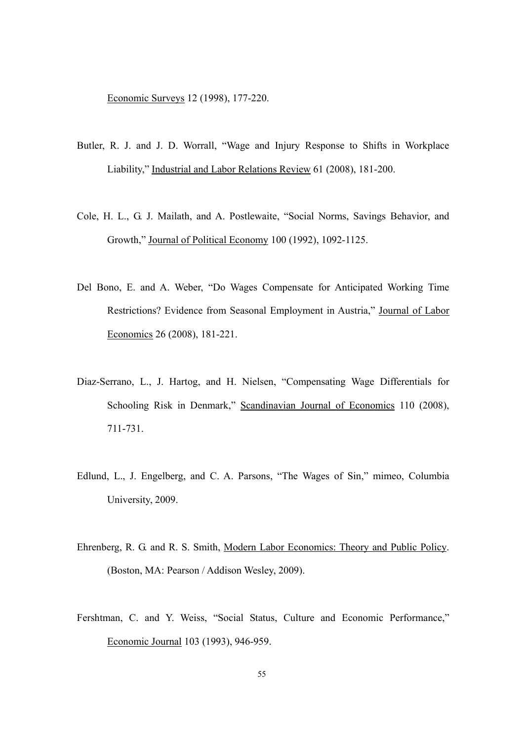Economic Surveys 12 (1998), 177-220.

- Butler, R. J. and J. D. Worrall, "Wage and Injury Response to Shifts in Workplace Liability," Industrial and Labor Relations Review 61 (2008), 181-200.
- Cole, H. L., G. J. Mailath, and A. Postlewaite, "Social Norms, Savings Behavior, and Growth," Journal of Political Economy 100 (1992), 1092-1125.
- Del Bono, E. and A. Weber, "Do Wages Compensate for Anticipated Working Time Restrictions? Evidence from Seasonal Employment in Austria," Journal of Labor Economics 26 (2008), 181-221.
- Diaz-Serrano, L., J. Hartog, and H. Nielsen, "Compensating Wage Differentials for Schooling Risk in Denmark," Scandinavian Journal of Economics 110 (2008), 711-731.
- Edlund, L., J. Engelberg, and C. A. Parsons, "The Wages of Sin," mimeo, Columbia University, 2009.
- Ehrenberg, R. G. and R. S. Smith, Modern Labor Economics: Theory and Public Policy. (Boston, MA: Pearson / Addison Wesley, 2009).
- Fershtman, C. and Y. Weiss, "Social Status, Culture and Economic Performance," Economic Journal 103 (1993), 946-959.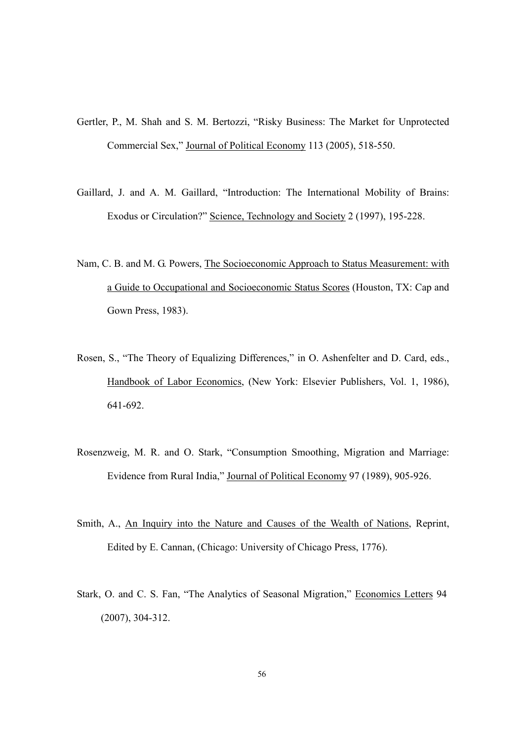- Gertler, P., M. Shah and S. M. Bertozzi, "Risky Business: The Market for Unprotected Commercial Sex," Journal of Political Economy 113 (2005), 518-550.
- Gaillard, J. and A. M. Gaillard, "Introduction: The International Mobility of Brains: Exodus or Circulation?" Science, Technology and Society 2 (1997), 195-228.
- Nam, C. B. and M. G. Powers, The Socioeconomic Approach to Status Measurement: with a Guide to Occupational and Socioeconomic Status Scores (Houston, TX: Cap and Gown Press, 1983).
- Rosen, S., "The Theory of Equalizing Differences," in O. Ashenfelter and D. Card, eds., Handbook of Labor Economics, (New York: Elsevier Publishers, Vol. 1, 1986), 641-692.
- Rosenzweig, M. R. and O. Stark, "Consumption Smoothing, Migration and Marriage: Evidence from Rural India," Journal of Political Economy 97 (1989), 905-926.
- Smith, A., An Inquiry into the Nature and Causes of the Wealth of Nations, Reprint, Edited by E. Cannan, (Chicago: University of Chicago Press, 1776).
- Stark, O. and C. S. Fan, "The Analytics of Seasonal Migration," Economics Letters 94 (2007), 304-312.